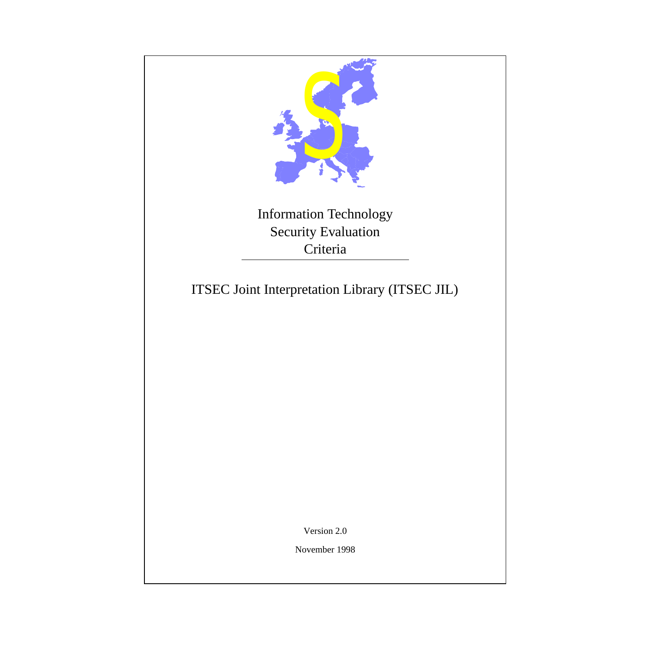<span id="page-0-0"></span>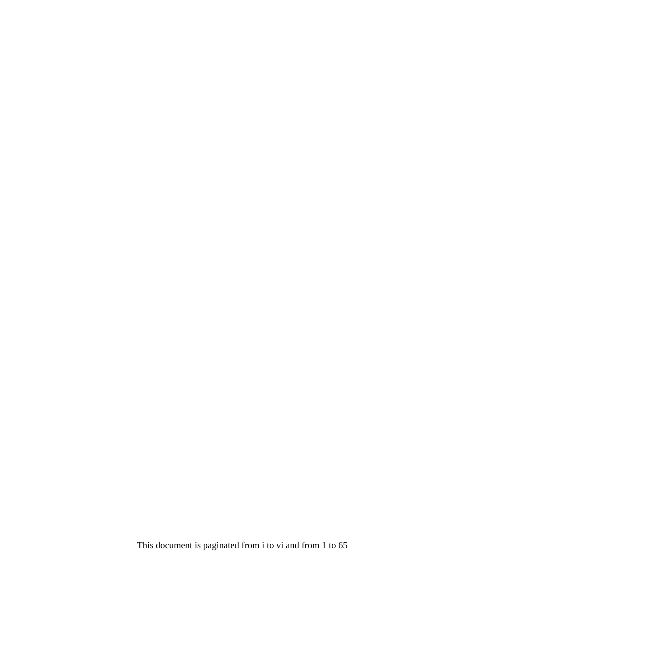This document is paginated from i to vi and from 1 to [65](#page-72-0)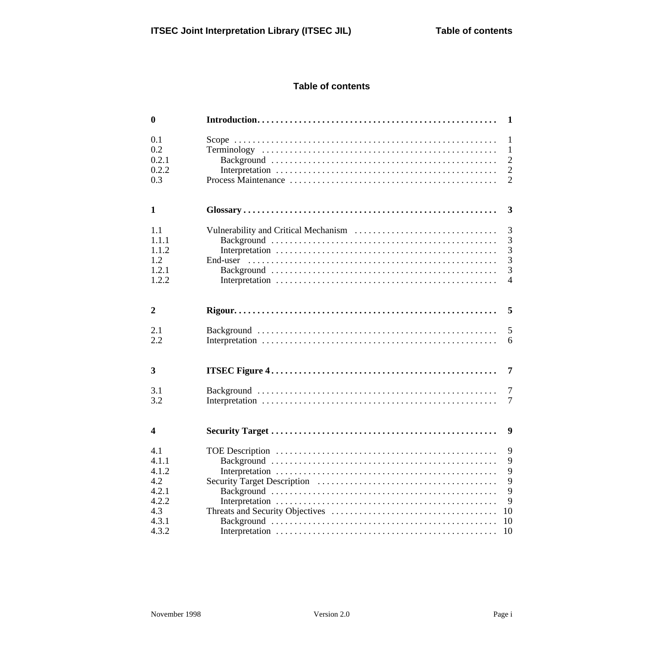## **Table of contents**

| $\boldsymbol{0}$                               |                                                                                    |
|------------------------------------------------|------------------------------------------------------------------------------------|
| 0.1<br>0.2<br>0.2.1<br>0.2.2<br>0.3            | $\mathbf{1}$<br>$\mathbf{1}$<br>$\overline{2}$<br>$\frac{2}{2}$                    |
| $\mathbf{1}$                                   | $\overline{\mathbf{3}}$                                                            |
| 1.1<br>1.1.1<br>1.1.2<br>1.2<br>1.2.1<br>1.2.2 | $\begin{array}{c} 3 \\ 3 \\ 3 \end{array}$<br>3<br>End-user<br>3<br>$\overline{4}$ |
| $\overline{2}$                                 |                                                                                    |
| 2.1<br>2.2                                     | 5<br>6                                                                             |
| 3                                              | $\overline{7}$                                                                     |
| 3.1<br>3.2                                     | $\overline{7}$<br>$\tau$                                                           |
| $\boldsymbol{4}$                               | 9                                                                                  |
| 4.1<br>4.1.1<br>4.1.2<br>4.2                   | 9<br>9<br>9<br>9                                                                   |
| 4.2.1<br>4.2.2<br>4.3                          | 9<br>9<br>10                                                                       |
| 4.3.1<br>4.3.2                                 | 10<br>10                                                                           |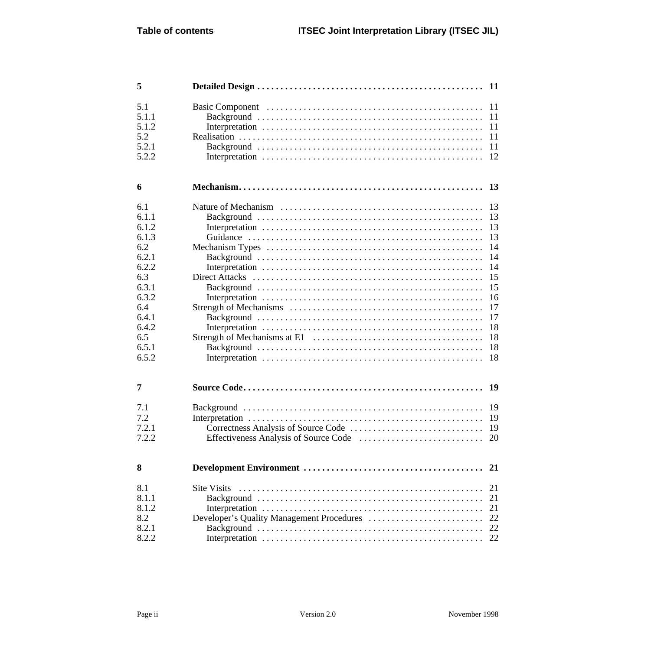| 5                                                                                                                                  | <b>11</b>                                  |                                                                      |
|------------------------------------------------------------------------------------------------------------------------------------|--------------------------------------------|----------------------------------------------------------------------|
| 5.1<br>5.1.1<br>5.1.2<br>5.2<br>5.2.1<br>5.2.2                                                                                     | 11<br>11<br>11<br>11<br>11<br>12           |                                                                      |
| 6                                                                                                                                  | 13                                         |                                                                      |
| 6.1<br>6.1.1<br>6.1.2<br>6.1.3<br>6.2<br>6.2.1<br>6.2.2<br>6.3<br>6.3.1<br>6.3.2<br>6.4<br>6.4.1<br>6.4.2<br>6.5<br>6.5.1<br>6.5.2 | 13<br>14<br>14<br>16                       | 13<br>13<br>13<br>14<br>15<br>15<br>17<br>17<br>18<br>18<br>18<br>18 |
| 7                                                                                                                                  |                                            | 19                                                                   |
| 7.1<br>7.2<br>7.2.1<br>7.2.2                                                                                                       | 19                                         | 19<br>19<br>20                                                       |
| 8                                                                                                                                  |                                            | 21                                                                   |
| 8.1<br>8.1.1<br>8.1.2<br>8.2<br>8.2.1<br>8.2.2                                                                                     | <b>Site Visits</b><br>21<br>21<br>21<br>22 | 22<br>22                                                             |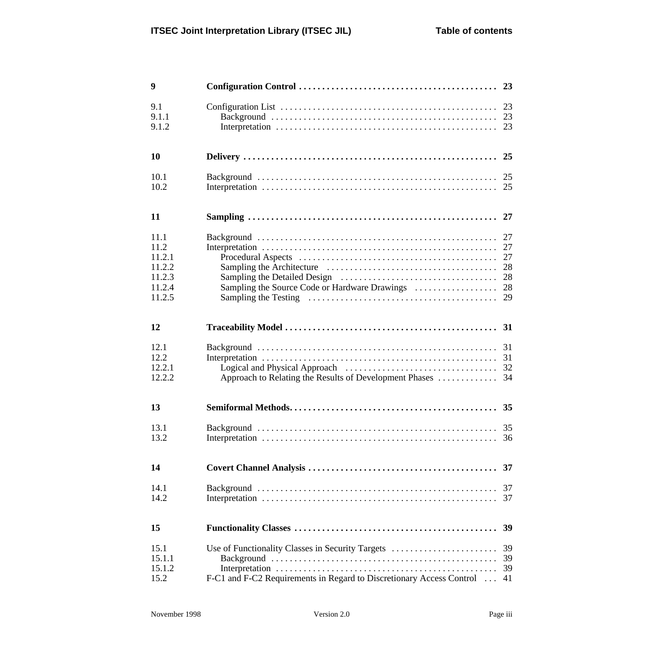| 9                                                              |                                                                                                                          |                                  |
|----------------------------------------------------------------|--------------------------------------------------------------------------------------------------------------------------|----------------------------------|
| 9.1<br>9.1.1<br>9.1.2                                          |                                                                                                                          |                                  |
| 10                                                             |                                                                                                                          | 25                               |
| 10.1<br>10.2                                                   |                                                                                                                          |                                  |
| 11                                                             |                                                                                                                          |                                  |
| 11.1<br>11.2<br>11.2.1<br>11.2.2<br>11.2.3<br>11.2.4<br>11.2.5 | Sampling the Source Code or Hardware Drawings                                                                            | 27<br>27<br>28<br>28<br>28<br>29 |
| 12                                                             |                                                                                                                          |                                  |
| 12.1<br>12.2<br>12.2.1<br>12.2.2                               | Approach to Relating the Results of Development Phases                                                                   | 34                               |
| 13                                                             |                                                                                                                          | 35                               |
| 13.1<br>13.2                                                   |                                                                                                                          | 36                               |
| 14                                                             |                                                                                                                          | 37                               |
| 14.1<br>14.2                                                   |                                                                                                                          | 37<br>37                         |
| 15                                                             |                                                                                                                          | <b>39</b>                        |
| 15.1<br>15.1.1<br>15.1.2<br>15.2                               | Use of Functionality Classes in Security Targets<br>F-C1 and F-C2 Requirements in Regard to Discretionary Access Control | 39<br>39<br>39<br>41             |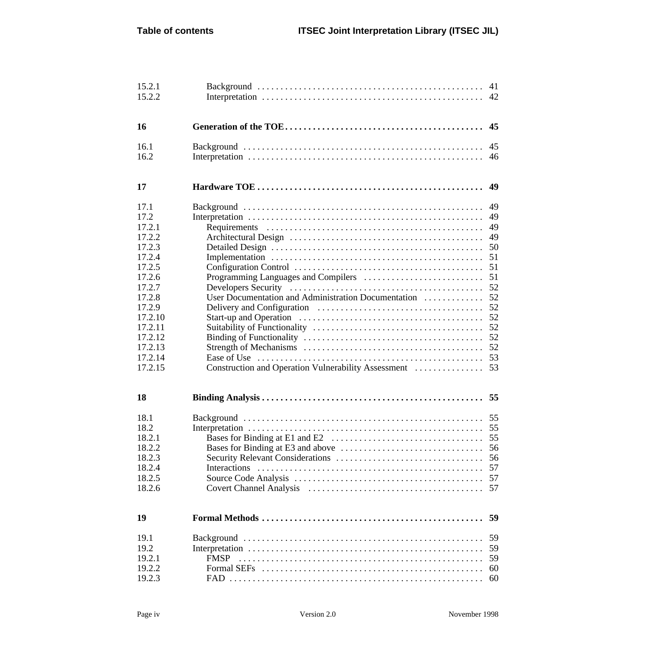| 15.2.1<br>15.2.2                                                                                                                                                         |                                                                                                            | 41<br>42                                                                                           |
|--------------------------------------------------------------------------------------------------------------------------------------------------------------------------|------------------------------------------------------------------------------------------------------------|----------------------------------------------------------------------------------------------------|
| 16                                                                                                                                                                       |                                                                                                            | 45                                                                                                 |
| 16.1<br>16.2                                                                                                                                                             |                                                                                                            | 45<br>46                                                                                           |
| 17                                                                                                                                                                       |                                                                                                            | 49                                                                                                 |
| 17.1<br>17.2<br>17.2.1<br>17.2.2<br>17.2.3<br>17.2.4<br>17.2.5<br>17.2.6<br>17.2.7<br>17.2.8<br>17.2.9<br>17.2.10<br>17.2.11<br>17.2.12<br>17.2.13<br>17.2.14<br>17.2.15 | User Documentation and Administration Documentation<br>Construction and Operation Vulnerability Assessment | 49<br>49<br>49<br>49<br>50<br>51<br>51<br>51<br>52<br>52<br>52<br>52<br>52<br>52<br>52<br>53<br>53 |
| 18                                                                                                                                                                       |                                                                                                            |                                                                                                    |
| 18.1<br>18.2<br>18.2.1<br>18.2.2<br>18.2.3<br>18.2.4<br>18.2.5<br>18.2.6                                                                                                 |                                                                                                            | 55<br>55<br>55<br>56<br>56<br>57<br>57<br>57                                                       |
| 19                                                                                                                                                                       |                                                                                                            | 59                                                                                                 |
| 19.1<br>19.2<br>19.2.1<br>19.2.2<br>19.2.3                                                                                                                               | <b>FMSP</b>                                                                                                | 59<br>59<br>59<br>60<br>60                                                                         |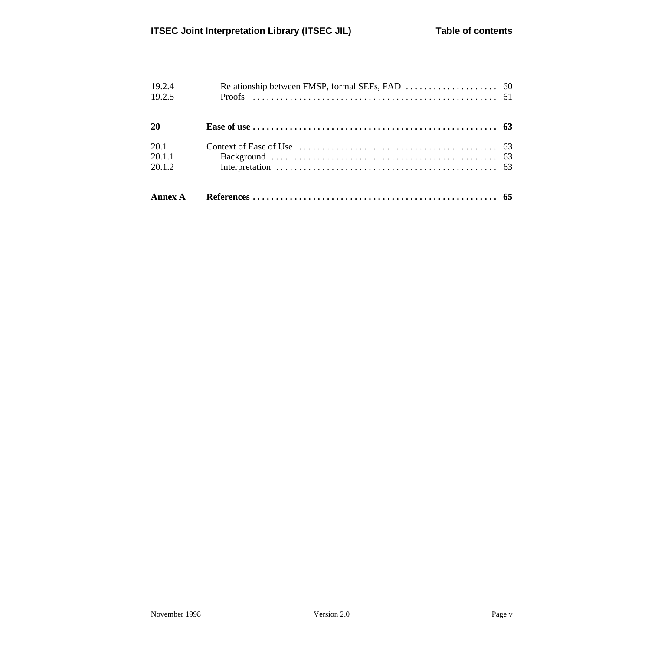| 20.1.2           |  |
|------------------|--|
|                  |  |
| 20.1.1           |  |
| 20.1             |  |
| 20               |  |
| 19.2.4<br>19.2.5 |  |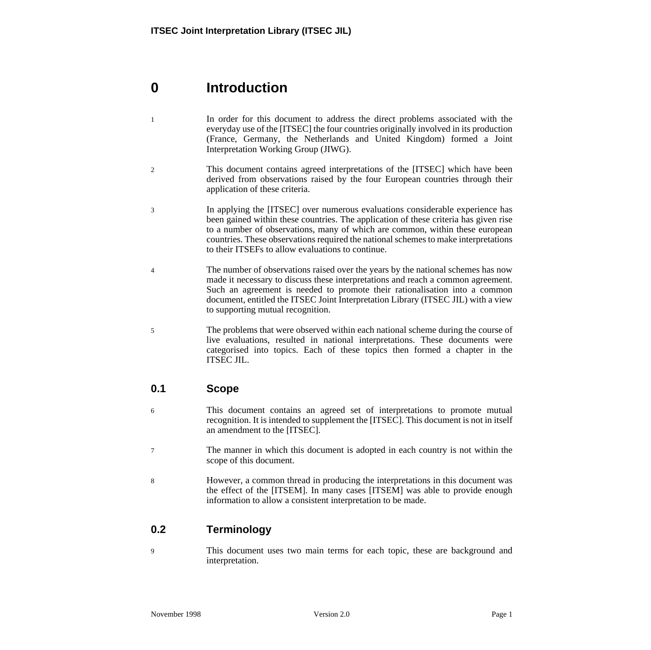# **0 Introduction**

- 1 In order for this document to address the direct problems associated with the everyday use of the [ITSEC] the four countries originally involved in its production (France, Germany, the Netherlands and United Kingdom) formed a Joint Interpretation Working Group (JIWG).
- 2 This document contains agreed interpretations of the [ITSEC] which have been derived from observations raised by the four European countries through their application of these criteria.
- 3 In applying the [ITSEC] over numerous evaluations considerable experience has been gained within these countries. The application of these criteria has given rise to a number of observations, many of which are common, within these european countries. These observations required the national schemes to make interpretations to their ITSEFs to allow evaluations to continue.
- 4 The number of observations raised over the years by the national schemes has now made it necessary to discuss these interpretations and reach a common agreement. Such an agreement is needed to promote their rationalisation into a common document, entitled the ITSEC Joint Interpretation Library (ITSEC JIL) with a view to supporting mutual recognition.
- 5 The problems that were observed within each national scheme during the course of live evaluations, resulted in national interpretations. These documents were categorised into topics. Each of these topics then formed a chapter in the ITSEC JIL.

## **0.1 Scope**

- 6 This document contains an agreed set of interpretations to promote mutual recognition. It is intended to supplement the [ITSEC]. This document is not in itself an amendment to the [ITSEC].
- 7 The manner in which this document is adopted in each country is not within the scope of this document.
- 8 However, a common thread in producing the interpretations in this document was the effect of the [ITSEM]. In many cases [ITSEM] was able to provide enough information to allow a consistent interpretation to be made.

# **0.2 Terminology**

9 This document uses two main terms for each topic, these are background and interpretation.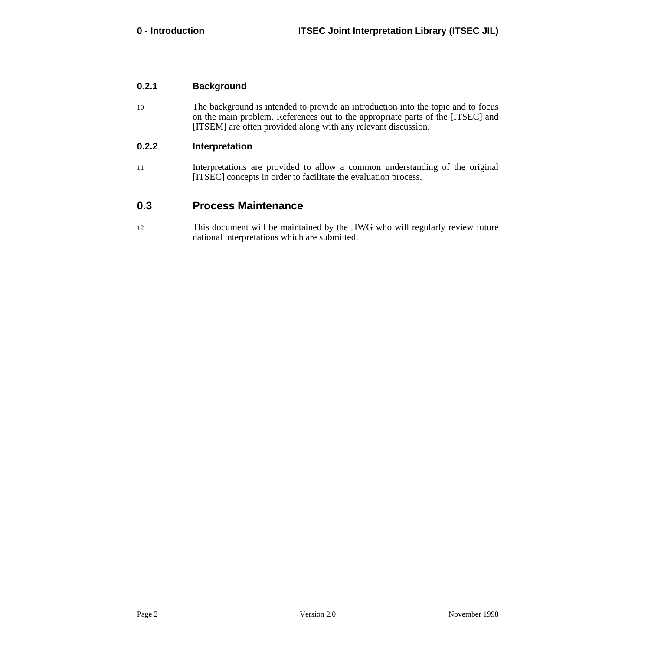#### **0.2.1 Background**

10 The background is intended to provide an introduction into the topic and to focus on the main problem. References out to the appropriate parts of the [ITSEC] and [ITSEM] are often provided along with any relevant discussion.

#### **0.2.2 Interpretation**

11 Interpretations are provided to allow a common understanding of the original [ITSEC] concepts in order to facilitate the evaluation process.

## **0.3 Process Maintenance**

12 This document will be maintained by the JIWG who will regularly review future national interpretations which are submitted.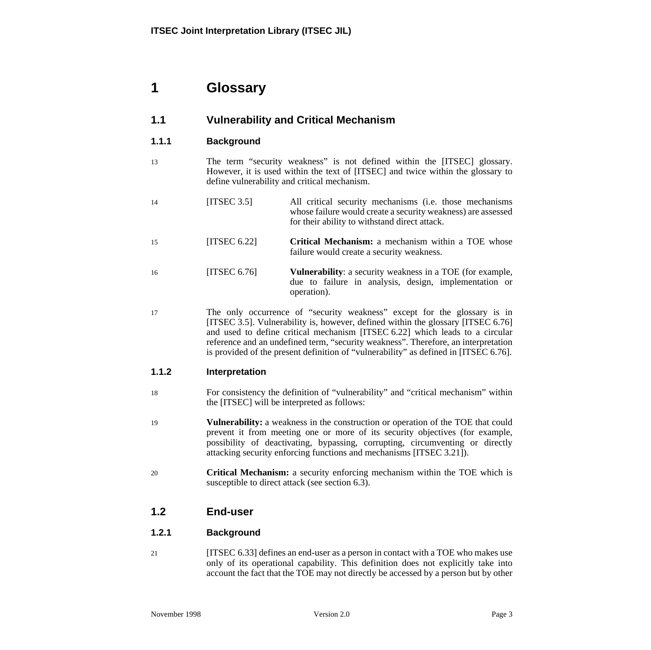# <span id="page-10-0"></span>**1 Glossary**

# **1.1 Vulnerability and Critical Mechanism**

## **1.1.1 Background**

- 13 The term "security weakness" is not defined within the [ITSEC] glossary. However, it is used within the text of [ITSEC] and twice within the glossary to define vulnerability and critical mechanism.
- 14 [ITSEC 3.5] All critical security mechanisms (i.e. those mechanisms whose failure would create a security weakness) are assessed for their ability to withstand direct attack.
- 15 [ITSEC 6.22] **Critical Mechanism:** a mechanism within a TOE whose failure would create a security weakness.
- 16 [ITSEC 6.76] **Vulnerability**: a security weakness in a TOE (for example, due to failure in analysis, design, implementation or operation).
- 17 The only occurrence of "security weakness" except for the glossary is in [ITSEC 3.5]. Vulnerability is, however, defined within the glossary [ITSEC 6.76] and used to define critical mechanism [ITSEC 6.22] which leads to a circular reference and an undefined term, "security weakness". Therefore, an interpretation is provided of the present definition of "vulnerability" as defined in [ITSEC 6.76].

### **1.1.2 Interpretation**

- 18 For consistency the definition of "vulnerability" and "critical mechanism" within the [ITSEC] will be interpreted as follows:
- 19 **Vulnerability:** a weakness in the construction or operation of the TOE that could prevent it from meeting one or more of its security objectives (for example, possibility of deactivating, bypassing, corrupting, circumventing or directly attacking security enforcing functions and mechanisms [ITSEC 3.21]).
- 20 **Critical Mechanism:** a security enforcing mechanism within the TOE which is susceptible to direct attack (see section 6.[3\).](#page-22-0)

## **1.2 End-user**

### **1.2.1 Background**

21 [ITSEC 6.33] defines an end-user as a person in contact with a TOE who makes use only of its operational capability. This definition does not explicitly take into account the fact that the TOE may not directly be accessed by a person but by other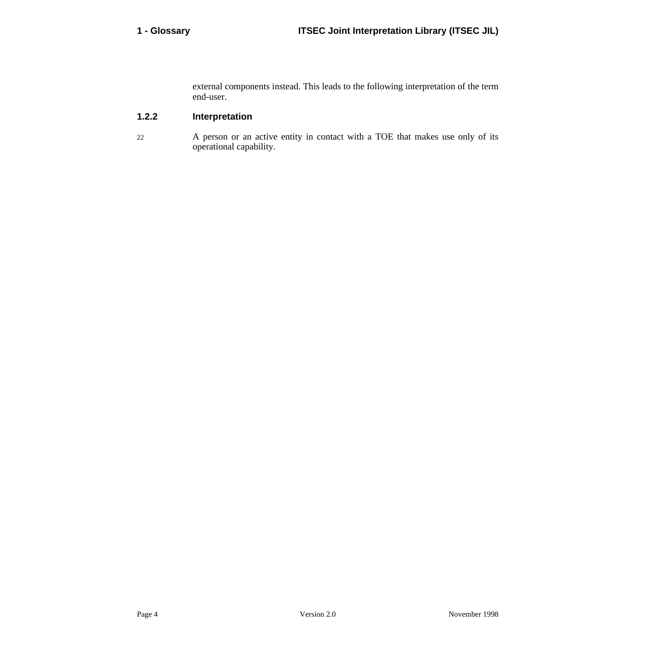external components instead. This leads to the following interpretation of the term end-user.

## **1.2.2 Interpretation**

22 A person or an active entity in contact with a TOE that makes use only of its operational capability.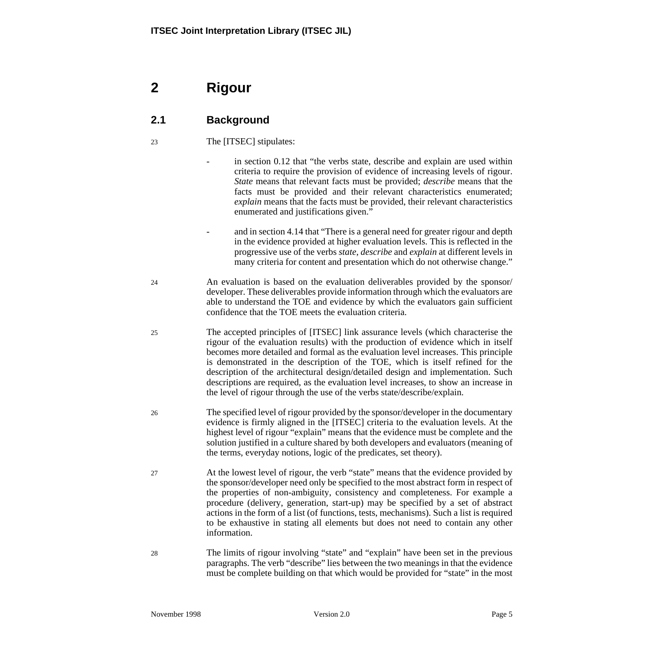# **2 Rigour**

# **2.1 Background**

## 23 The [ITSEC] stipulates:

- in section 0.12 that "the verbs state, describe and explain are used within criteria to require the provision of evidence of increasing levels of rigour. *State* means that relevant facts must be provided; *describe* means that the facts must be provided and their relevant characteristics enumerated; *explain* means that the facts must be provided, their relevant characteristics enumerated and justifications given."
- and in section 4.14 that "There is a general need for greater rigour and depth in the evidence provided at higher evaluation levels. This is reflected in the progressive use of the verbs *state*, *describe* and *explain* at different levels in many criteria for content and presentation which do not otherwise change."
- 24 An evaluation is based on the evaluation deliverables provided by the sponsor/ developer. These deliverables provide information through which the evaluators are able to understand the TOE and evidence by which the evaluators gain sufficient confidence that the TOE meets the evaluation criteria.
- 25 The accepted principles of [ITSEC] link assurance levels (which characterise the rigour of the evaluation results) with the production of evidence which in itself becomes more detailed and formal as the evaluation level increases. This principle is demonstrated in the description of the TOE, which is itself refined for the description of the architectural design/detailed design and implementation. Such descriptions are required, as the evaluation level increases, to show an increase in the level of rigour through the use of the verbs state/describe/explain.
- 26 The specified level of rigour provided by the sponsor/developer in the documentary evidence is firmly aligned in the [ITSEC] criteria to the evaluation levels. At the highest level of rigour "explain" means that the evidence must be complete and the solution justified in a culture shared by both developers and evaluators (meaning of the terms, everyday notions, logic of the predicates, set theory).
- 27 At the lowest level of rigour, the verb "state" means that the evidence provided by the sponsor/developer need only be specified to the most abstract form in respect of the properties of non-ambiguity, consistency and completeness. For example a procedure (delivery, generation, start-up) may be specified by a set of abstract actions in the form of a list (of functions, tests, mechanisms). Such a list is required to be exhaustive in stating all elements but does not need to contain any other information.
- 28 The limits of rigour involving "state" and "explain" have been set in the previous paragraphs. The verb "describe" lies between the two meanings in that the evidence must be complete building on that which would be provided for "state" in the most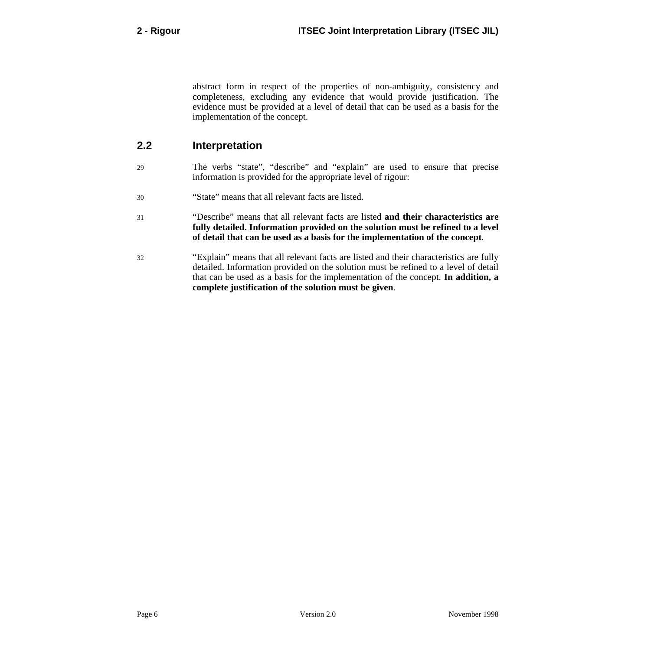abstract form in respect of the properties of non-ambiguity, consistency and completeness, excluding any evidence that would provide justification. The evidence must be provided at a level of detail that can be used as a basis for the implementation of the concept.

## **2.2 Interpretation**

- 29 The verbs "state", "describe" and "explain" are used to ensure that precise information is provided for the appropriate level of rigour:
- 30 "State" means that all relevant facts are listed.
- 31 "Describe" means that all relevant facts are listed **and their characteristics are fully detailed. Information provided on the solution must be refined to a level of detail that can be used as a basis for the implementation of the concept**.
- 32 "Explain" means that all relevant facts are listed and their characteristics are fully detailed. Information provided on the solution must be refined to a level of detail that can be used as a basis for the implementation of the concept. **In addition, a complete justification of the solution must be given**.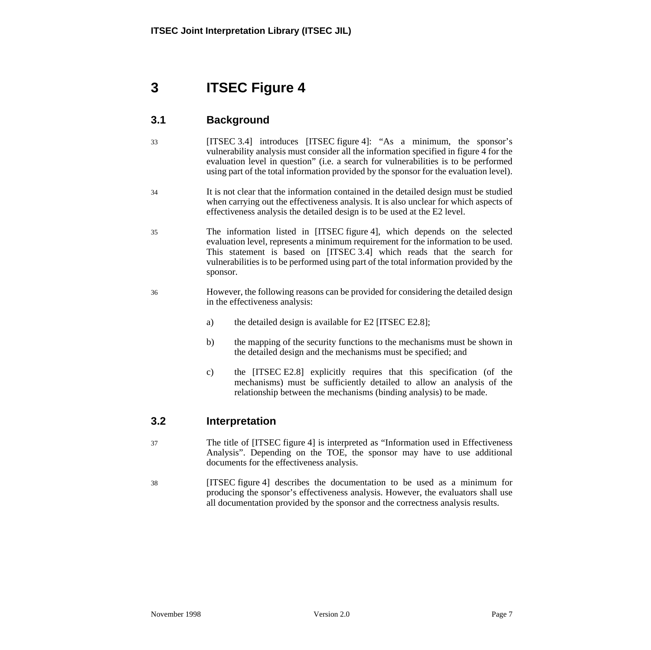# **3 ITSEC Figure 4**

# **3.1 Background**

33 [ITSEC 3.4] introduces [ITSEC figure 4]: "As a minimum, the sponsor's vulnerability analysis must consider all the information specified in figure 4 for the evaluation level in question" (i.e. a search for vulnerabilities is to be performed using part of the total information provided by the sponsor for the evaluation level).

34 It is not clear that the information contained in the detailed design must be studied when carrying out the effectiveness analysis. It is also unclear for which aspects of effectiveness analysis the detailed design is to be used at the E2 level.

- 35 The information listed in [ITSEC figure 4], which depends on the selected evaluation level, represents a minimum requirement for the information to be used. This statement is based on [ITSEC 3.4] which reads that the search for vulnerabilities is to be performed using part of the total information provided by the sponsor.
- 36 However, the following reasons can be provided for considering the detailed design in the effectiveness analysis:
	- a) the detailed design is available for E2 [ITSEC E2.8];
	- b) the mapping of the security functions to the mechanisms must be shown in the detailed design and the mechanisms must be specified; and
	- c) the [ITSEC E2.8] explicitly requires that this specification (of the mechanisms) must be sufficiently detailed to allow an analysis of the relationship between the mechanisms (binding analysis) to be made.

## **3.2 Interpretation**

- 37 The title of [ITSEC figure 4] is interpreted as "Information used in Effectiveness Analysis". Depending on the TOE, the sponsor may have to use additional documents for the effectiveness analysis.
- 38 [ITSEC figure 4] describes the documentation to be used as a minimum for producing the sponsor's effectiveness analysis. However, the evaluators shall use all documentation provided by the sponsor and the correctness analysis results.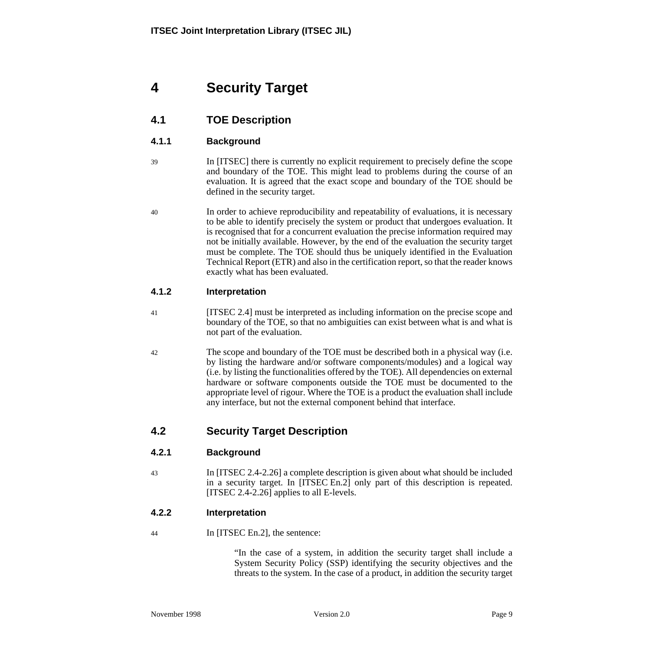# **4 Security Target**

# **4.1 TOE Description**

## **4.1.1 Background**

- 39 In [ITSEC] there is currently no explicit requirement to precisely define the scope and boundary of the TOE. This might lead to problems during the course of an evaluation. It is agreed that the exact scope and boundary of the TOE should be defined in the security target.
- 40 In order to achieve reproducibility and repeatability of evaluations, it is necessary to be able to identify precisely the system or product that undergoes evaluation. It is recognised that for a concurrent evaluation the precise information required may not be initially available. However, by the end of the evaluation the security target must be complete. The TOE should thus be uniquely identified in the Evaluation Technical Report (ETR) and also in the certification report, so that the reader knows exactly what has been evaluated.

### **4.1.2 Interpretation**

- 41 [ITSEC 2.4] must be interpreted as including information on the precise scope and boundary of the TOE, so that no ambiguities can exist between what is and what is not part of the evaluation.
- 42 The scope and boundary of the TOE must be described both in a physical way (i.e. by listing the hardware and/or software components/modules) and a logical way (i.e. by listing the functionalities offered by the TOE). All dependencies on external hardware or software components outside the TOE must be documented to the appropriate level of rigour. Where the TOE is a product the evaluation shall include any interface, but not the external component behind that interface.

## **4.2 Security Target Description**

### **4.2.1 Background**

43 In [ITSEC 2.4-2.26] a complete description is given about what should be included in a security target. In [ITSEC En.2] only part of this description is repeated. [ITSEC 2.4-2.26] applies to all E-levels.

### **4.2.2 Interpretation**

44 In [ITSEC En.2], the sentence:

"In the case of a system, in addition the security target shall include a System Security Policy (SSP) identifying the security objectives and the threats to the system. In the case of a product, in addition the security target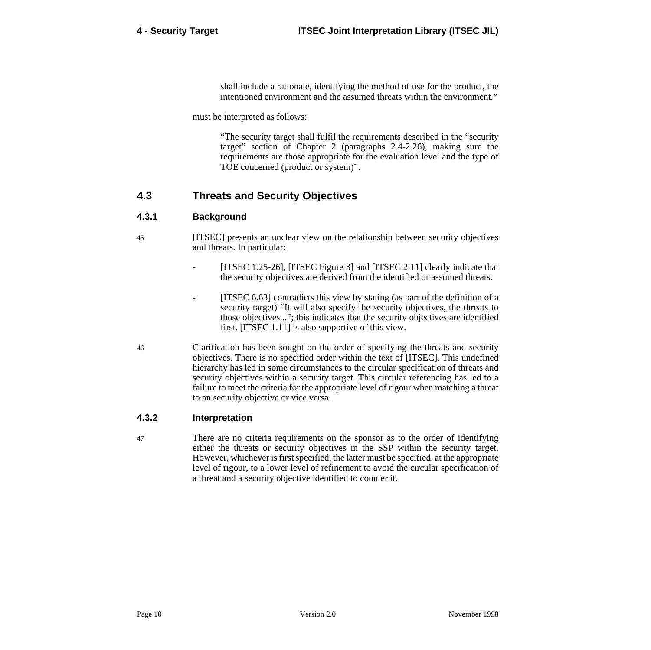shall include a rationale, identifying the method of use for the product, the intentioned environment and the assumed threats within the environment."

must be interpreted as follows:

"The security target shall fulfil the requirements described in the "security target" section of Chapter 2 (paragraphs 2.4-2.26), making sure the requirements are those appropriate for the evaluation level and the type of TOE concerned (product or system)".

## **4.3 Threats and Security Objectives**

#### **4.3.1 Background**

- 45 [ITSEC] presents an unclear view on the relationship between security objectives and threats. In particular:
	- [ITSEC 1.25-26], [ITSEC Figure 3] and [ITSEC 2.11] clearly indicate that the security objectives are derived from the identified or assumed threats.
		- [ITSEC 6.63] contradicts this view by stating (as part of the definition of a security target) "It will also specify the security objectives, the threats to those objectives..."; this indicates that the security objectives are identified first. [ITSEC 1.11] is also supportive of this view.
- 46 Clarification has been sought on the order of specifying the threats and security objectives. There is no specified order within the text of [ITSEC]. This undefined hierarchy has led in some circumstances to the circular specification of threats and security objectives within a security target. This circular referencing has led to a failure to meet the criteria for the appropriate level of rigour when matching a threat to an security objective or vice versa.

#### **4.3.2 Interpretation**

47 There are no criteria requirements on the sponsor as to the order of identifying either the threats or security objectives in the SSP within the security target. However, whichever is first specified, the latter must be specified, at the appropriate level of rigour, to a lower level of refinement to avoid the circular specification of a threat and a security objective identified to counter it.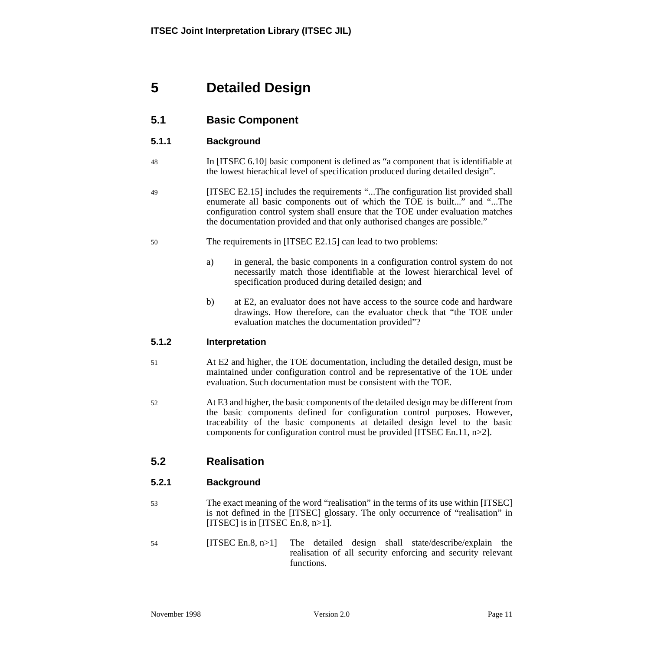# **5 Detailed Design**

# **5.1 Basic Component**

## **5.1.1 Background**

- 48 In [ITSEC 6.10] basic component is defined as "a component that is identifiable at the lowest hierachical level of specification produced during detailed design".
- 49 [ITSEC E2.15] includes the requirements "...The configuration list provided shall enumerate all basic components out of which the TOE is built..." and "...The configuration control system shall ensure that the TOE under evaluation matches the documentation provided and that only authorised changes are possible."
- 50 The requirements in [ITSEC E2.15] can lead to two problems:
	- a) in general, the basic components in a configuration control system do not necessarily match those identifiable at the lowest hierarchical level of specification produced during detailed design; and
	- b) at E2, an evaluator does not have access to the source code and hardware drawings. How therefore, can the evaluator check that "the TOE under evaluation matches the documentation provided"?

### **5.1.2 Interpretation**

- 51 At E2 and higher, the TOE documentation, including the detailed design, must be maintained under configuration control and be representative of the TOE under evaluation. Such documentation must be consistent with the TOE.
- 52 At E3 and higher, the basic components of the detailed design may be different from the basic components defined for configuration control purposes. However, traceability of the basic components at detailed design level to the basic components for configuration control must be provided [ITSEC En.11, n>2].

## **5.2 Realisation**

### **5.2.1 Background**

- 53 The exact meaning of the word "realisation" in the terms of its use within [ITSEC] is not defined in the [ITSEC] glossary. The only occurrence of "realisation" in [ITSEC] is in [ITSEC En.8,  $n>1$ ].
- 54 [ITSEC En.8, n>1] The detailed design shall state/describe/explain the realisation of all security enforcing and security relevant functions.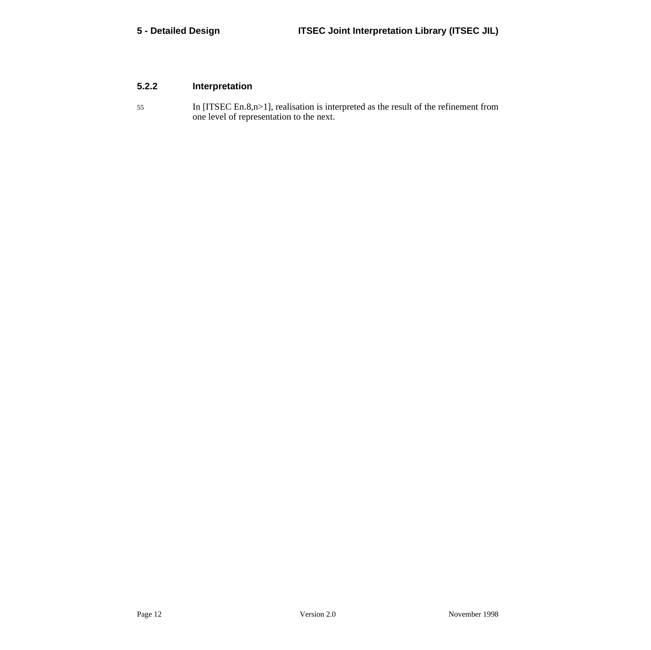## **5.2.2 Interpretation**

55 In [ITSEC En.8,n>1], realisation is interpreted as the result of the refinement from one level of representation to the next.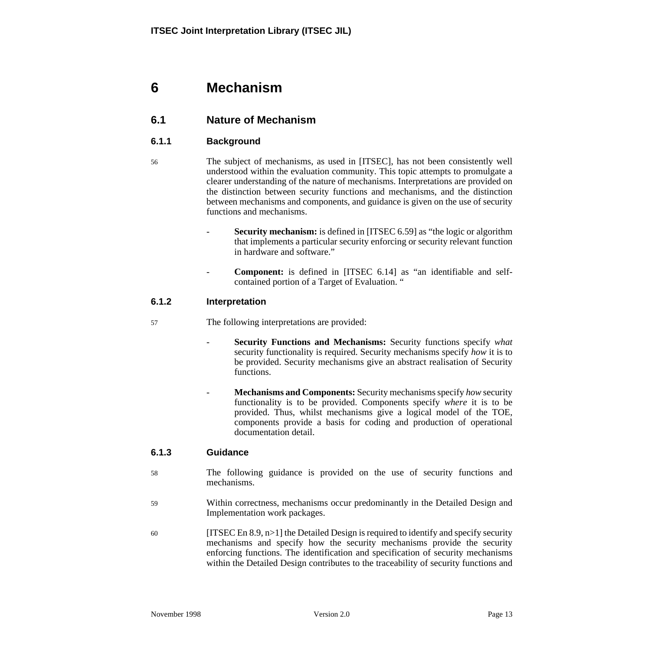# **6 Mechanism**

## **6.1 Nature of Mechanism**

### **6.1.1 Background**

- 56 The subject of mechanisms, as used in [ITSEC], has not been consistently well understood within the evaluation community. This topic attempts to promulgate a clearer understanding of the nature of mechanisms. Interpretations are provided on the distinction between security functions and mechanisms, and the distinction between mechanisms and components, and guidance is given on the use of security functions and mechanisms.
	- **Security mechanism:** is defined in [ITSEC 6.59] as "the logic or algorithm that implements a particular security enforcing or security relevant function in hardware and software."
	- **Component:** is defined in [ITSEC 6.14] as "an identifiable and selfcontained portion of a Target of Evaluation. "

#### **6.1.2 Interpretation**

- 57 The following interpretations are provided:
	- **Security Functions and Mechanisms:** Security functions specify *what* security functionality is required. Security mechanisms specify *how* it is to be provided. Security mechanisms give an abstract realisation of Security functions.
	- **Mechanisms and Components:** Security mechanisms specify *how* security functionality is to be provided. Components specify *where* it is to be provided. Thus, whilst mechanisms give a logical model of the TOE, components provide a basis for coding and production of operational documentation detail.

#### **6.1.3 Guidance**

- 58 The following guidance is provided on the use of security functions and mechanisms.
- 59 Within correctness, mechanisms occur predominantly in the Detailed Design and Implementation work packages.
- 60 [ITSEC En 8.9,  $n>1$ ] the Detailed Design is required to identify and specify security mechanisms and specify how the security mechanisms provide the security enforcing functions. The identification and specification of security mechanisms within the Detailed Design contributes to the traceability of security functions and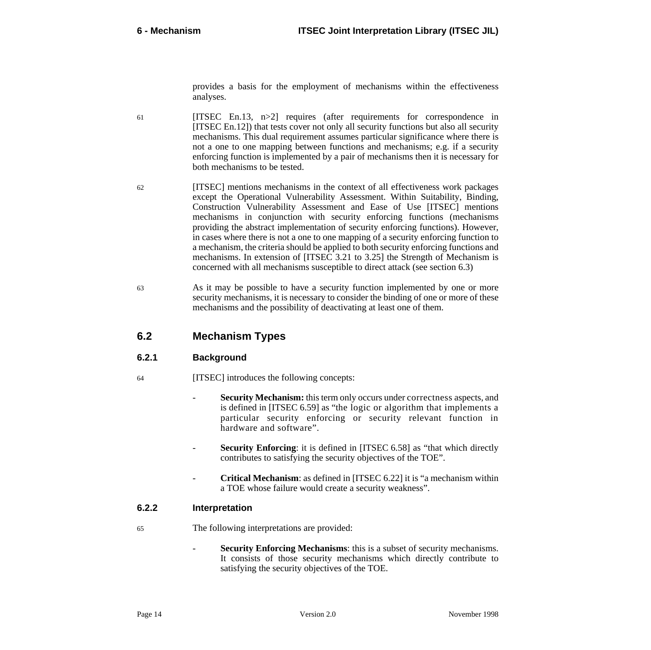provides a basis for the employment of mechanisms within the effectiveness analyses.

- 61 [ITSEC En.13, n>2] requires (after requirements for correspondence in [ITSEC En.12]) that tests cover not only all security functions but also all security mechanisms. This dual requirement assumes particular significance where there is not a one to one mapping between functions and mechanisms; e.g. if a security enforcing function is implemented by a pair of mechanisms then it is necessary for both mechanisms to be tested.
- 62 [ITSEC] mentions mechanisms in the context of all effectiveness work packages except the Operational Vulnerability Assessment. Within Suitability, Binding, Construction Vulnerability Assessment and Ease of Use [ITSEC] mentions mechanisms in conjunction with security enforcing functions (mechanisms providing the abstract implementation of security enforcing functions). However, in cases where there is not a one to one mapping of a security enforcing function to a mechanism, the criteria should be applied to both security enforcing functions and mechanisms. In extension of [ITSEC 3.21 to 3.25] the Strength of Mechanism is concerned with all mechanisms susceptible to direct attack (see section 6.3[\)](#page-22-0)
- 63 As it may be possible to have a security function implemented by one or more security mechanisms, it is necessary to consider the binding of one or more of these mechanisms and the possibility of deactivating at least one of them.

## **6.2 Mechanism Types**

#### **6.2.1 Background**

- 64 [ITSEC] introduces the following concepts:
	- **Security Mechanism:** this term only occurs under correctness aspects, and is defined in [ITSEC 6.59] as "the logic or algorithm that implements a particular security enforcing or security relevant function in hardware and software".
	- **Security Enforcing**: it is defined in [ITSEC 6.58] as "that which directly contributes to satisfying the security objectives of the TOE".
	- **Critical Mechanism**: as defined in [ITSEC 6.22] it is "a mechanism within a TOE whose failure would create a security weakness".

### **6.2.2 Interpretation**

- 65 The following interpretations are provided:
	- **Security Enforcing Mechanisms:** this is a subset of security mechanisms. It consists of those security mechanisms which directly contribute to satisfying the security objectives of the TOE.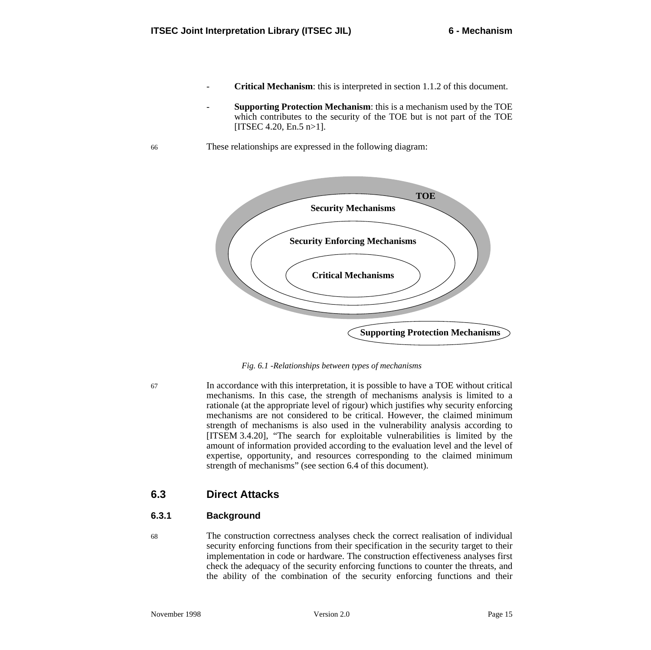- <span id="page-22-0"></span>**Critical Mechanism**: this is interpreted in section 1[.1.2 o](#page-10-0)f this document.
- **Supporting Protection Mechanism**: this is a mechanism used by the TOE which contributes to the security of the TOE but is not part of the TOE [ITSEC 4.20, En.5  $n>1$ ].
- 66 These relationships are expressed in the following diagram:



*Fig. 6.1 -Relationships between types of mechanisms*

67 In accordance with this interpretation, it is possible to have a TOE without critical mechanisms. In this case, the strength of mechanisms analysis is limited to a rationale (at the appropriate level of rigour) which justifies why security enforcing mechanisms are not considered to be critical. However, the claimed minimum strength of mechanisms is also used in the vulnerability analysis according to [ITSEM 3.4.20], "The search for exploitable vulnerabilities is limited by the amount of information provided according to the evaluation level and the level of expertise, opportunity, and resources corresponding to the claimed minimum strength of mechanisms" (see section 6.[4 of](#page-24-0) this document).

## **6.3 Direct Attacks**

### **6.3.1 Background**

68 The construction correctness analyses check the correct realisation of individual security enforcing functions from their specification in the security target to their implementation in code or hardware. The construction effectiveness analyses first check the adequacy of the security enforcing functions to counter the threats, and the ability of the combination of the security enforcing functions and their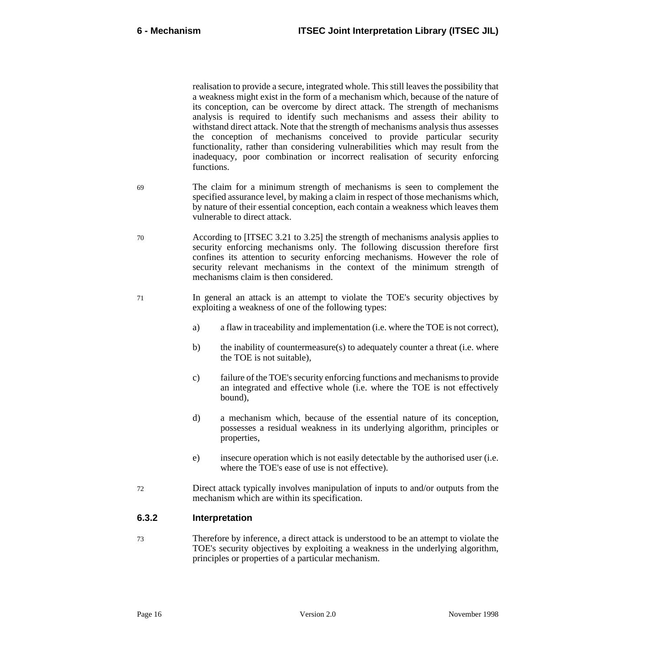realisation to provide a secure, integrated whole. This still leaves the possibility that a weakness might exist in the form of a mechanism which, because of the nature of its conception, can be overcome by direct attack. The strength of mechanisms analysis is required to identify such mechanisms and assess their ability to withstand direct attack. Note that the strength of mechanisms analysis thus assesses the conception of mechanisms conceived to provide particular security functionality, rather than considering vulnerabilities which may result from the inadequacy, poor combination or incorrect realisation of security enforcing functions.

- 69 The claim for a minimum strength of mechanisms is seen to complement the specified assurance level, by making a claim in respect of those mechanisms which, by nature of their essential conception, each contain a weakness which leaves them vulnerable to direct attack.
- 70 According to [ITSEC 3.21 to 3.25] the strength of mechanisms analysis applies to security enforcing mechanisms only. The following discussion therefore first confines its attention to security enforcing mechanisms. However the role of security relevant mechanisms in the context of the minimum strength of mechanisms claim is then considered.
- 71 In general an attack is an attempt to violate the TOE's security objectives by exploiting a weakness of one of the following types:
	- a) a flaw in traceability and implementation (i.e. where the TOE is not correct),
	- b) the inability of countermeasure(s) to adequately counter a threat (i.e. where the TOE is not suitable),
	- c) failure of the TOE's security enforcing functions and mechanisms to provide an integrated and effective whole (i.e. where the TOE is not effectively bound),
	- d) a mechanism which, because of the essential nature of its conception, possesses a residual weakness in its underlying algorithm, principles or properties,
	- e) insecure operation which is not easily detectable by the authorised user (i.e. where the TOE's ease of use is not effective).
- 72 Direct attack typically involves manipulation of inputs to and/or outputs from the mechanism which are within its specification.

#### **6.3.2 Interpretation**

73 Therefore by inference, a direct attack is understood to be an attempt to violate the TOE's security objectives by exploiting a weakness in the underlying algorithm, principles or properties of a particular mechanism.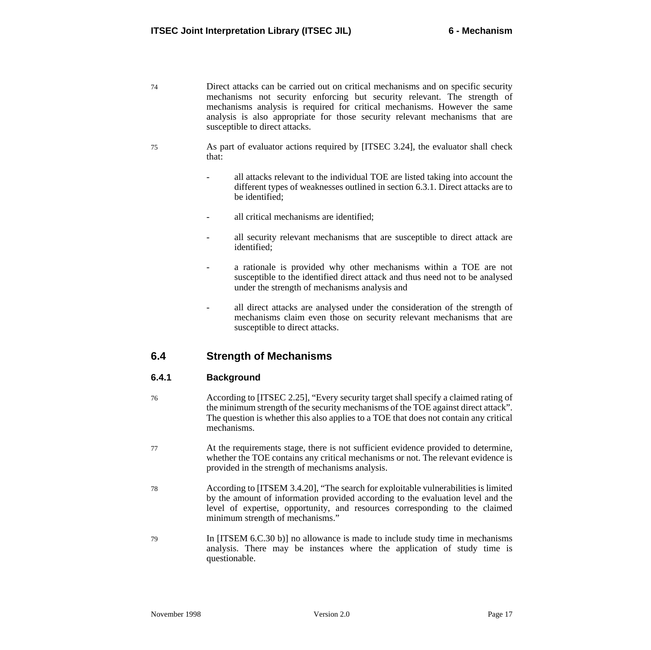- <span id="page-24-0"></span>74 Direct attacks can be carried out on critical mechanisms and on specific security mechanisms not security enforcing but security relevant. The strength of mechanisms analysis is required for critical mechanisms. However the same analysis is also appropriate for those security relevant mechanisms that are susceptible to direct attacks.
- 75 As part of evaluator actions required by [ITSEC 3.24], the evaluator shall check that:
	- all attacks relevant to the individual TOE are listed taking into account the different types of weaknesses outlined in section [6.3.1](#page-22-0). Direct attacks are to be identified;
	- all critical mechanisms are identified:
	- all security relevant mechanisms that are susceptible to direct attack are identified;
	- a rationale is provided why other mechanisms within a TOE are not susceptible to the identified direct attack and thus need not to be analysed under the strength of mechanisms analysis and
	- all direct attacks are analysed under the consideration of the strength of mechanisms claim even those on security relevant mechanisms that are susceptible to direct attacks.

## **6.4 Strength of Mechanisms**

#### **6.4.1 Background**

- 76 According to [ITSEC 2.25], "Every security target shall specify a claimed rating of the minimum strength of the security mechanisms of the TOE against direct attack". The question is whether this also applies to a TOE that does not contain any critical mechanisms.
- 77 At the requirements stage, there is not sufficient evidence provided to determine, whether the TOE contains any critical mechanisms or not. The relevant evidence is provided in the strength of mechanisms analysis.
- 78 According to [ITSEM 3.4.20], "The search for exploitable vulnerabilities is limited by the amount of information provided according to the evaluation level and the level of expertise, opportunity, and resources corresponding to the claimed minimum strength of mechanisms."
- 79 In [ITSEM 6.C.30 b)] no allowance is made to include study time in mechanisms analysis. There may be instances where the application of study time is questionable.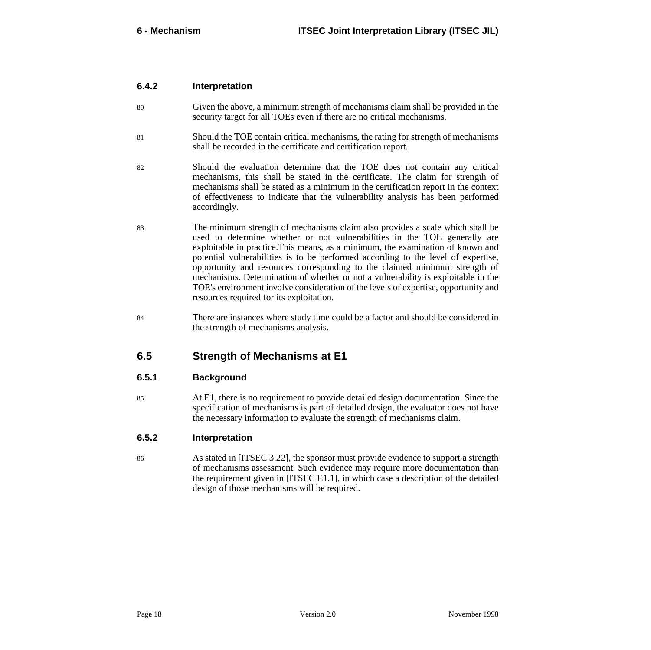#### **6.4.2 Interpretation**

- 80 Given the above, a minimum strength of mechanisms claim shall be provided in the security target for all TOEs even if there are no critical mechanisms.
- 81 Should the TOE contain critical mechanisms, the rating for strength of mechanisms shall be recorded in the certificate and certification report.
- 82 Should the evaluation determine that the TOE does not contain any critical mechanisms, this shall be stated in the certificate. The claim for strength of mechanisms shall be stated as a minimum in the certification report in the context of effectiveness to indicate that the vulnerability analysis has been performed accordingly.
- 83 The minimum strength of mechanisms claim also provides a scale which shall be used to determine whether or not vulnerabilities in the TOE generally are exploitable in practice.This means, as a minimum, the examination of known and potential vulnerabilities is to be performed according to the level of expertise, opportunity and resources corresponding to the claimed minimum strength of mechanisms. Determination of whether or not a vulnerability is exploitable in the TOE's environment involve consideration of the levels of expertise, opportunity and resources required for its exploitation.
- 84 There are instances where study time could be a factor and should be considered in the strength of mechanisms analysis.

## **6.5 Strength of Mechanisms at E1**

#### **6.5.1 Background**

85 At E1, there is no requirement to provide detailed design documentation. Since the specification of mechanisms is part of detailed design, the evaluator does not have the necessary information to evaluate the strength of mechanisms claim.

#### **6.5.2 Interpretation**

86 As stated in [ITSEC 3.22], the sponsor must provide evidence to support a strength of mechanisms assessment. Such evidence may require more documentation than the requirement given in [ITSEC E1.1], in which case a description of the detailed design of those mechanisms will be required.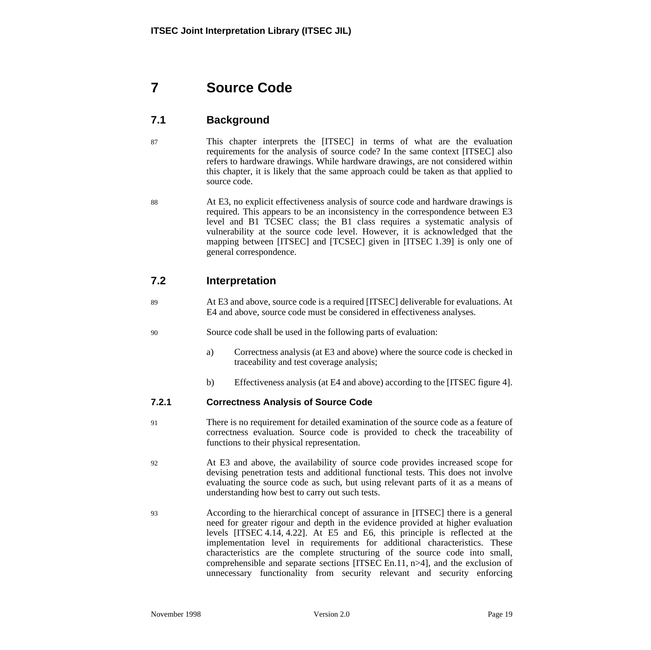# **7 Source Code**

# **7.1 Background**

- 87 This chapter interprets the [ITSEC] in terms of what are the evaluation requirements for the analysis of source code? In the same context [ITSEC] also refers to hardware drawings. While hardware drawings, are not considered within this chapter, it is likely that the same approach could be taken as that applied to source code.
- 88 At E3, no explicit effectiveness analysis of source code and hardware drawings is required. This appears to be an inconsistency in the correspondence between E3 level and B1 TCSEC class; the B1 class requires a systematic analysis of vulnerability at the source code level. However, it is acknowledged that the mapping between [ITSEC] and [TCSEC] given in [ITSEC 1.39] is only one of general correspondence.

## **7.2 Interpretation**

- 89 At E3 and above, source code is a required [ITSEC] deliverable for evaluations. At E4 and above, source code must be considered in effectiveness analyses.
- 90 Source code shall be used in the following parts of evaluation:
	- a) Correctness analysis (at E3 and above) where the source code is checked in traceability and test coverage analysis;
	- b) Effectiveness analysis (at E4 and above) according to the [ITSEC figure 4].

#### **7.2.1 Correctness Analysis of Source Code**

- 91 There is no requirement for detailed examination of the source code as a feature of correctness evaluation. Source code is provided to check the traceability of functions to their physical representation.
- 92 At E3 and above, the availability of source code provides increased scope for devising penetration tests and additional functional tests. This does not involve evaluating the source code as such, but using relevant parts of it as a means of understanding how best to carry out such tests.
- 93 According to the hierarchical concept of assurance in [ITSEC] there is a general need for greater rigour and depth in the evidence provided at higher evaluation levels [ITSEC 4.14, 4.22]. At E5 and E6, this principle is reflected at the implementation level in requirements for additional characteristics. These characteristics are the complete structuring of the source code into small, comprehensible and separate sections [ITSEC En.11, n>4], and the exclusion of unnecessary functionality from security relevant and security enforcing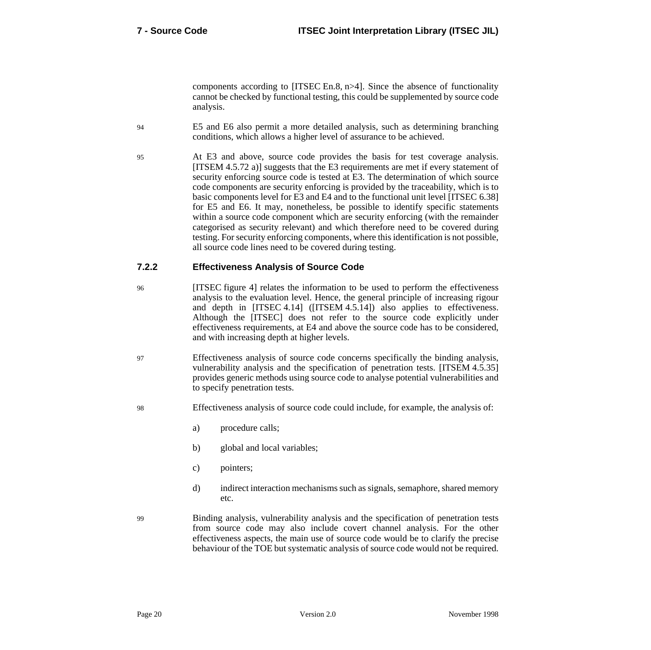components according to [ITSEC En.8, n>4]. Since the absence of functionality cannot be checked by functional testing, this could be supplemented by source code analysis.

- 94 E5 and E6 also permit a more detailed analysis, such as determining branching conditions, which allows a higher level of assurance to be achieved.
- 95 At E3 and above, source code provides the basis for test coverage analysis. [ITSEM 4.5.72 a)] suggests that the E3 requirements are met if every statement of security enforcing source code is tested at E3. The determination of which source code components are security enforcing is provided by the traceability, which is to basic components level for E3 and E4 and to the functional unit level [ITSEC 6.38] for E5 and E6. It may, nonetheless, be possible to identify specific statements within a source code component which are security enforcing (with the remainder categorised as security relevant) and which therefore need to be covered during testing. For security enforcing components, where this identification is not possible, all source code lines need to be covered during testing.

### **7.2.2 Effectiveness Analysis of Source Code**

- 96 [ITSEC figure 4] relates the information to be used to perform the effectiveness analysis to the evaluation level. Hence, the general principle of increasing rigour and depth in [ITSEC 4.14] ([ITSEM 4.5.14]) also applies to effectiveness. Although the [ITSEC] does not refer to the source code explicitly under effectiveness requirements, at E4 and above the source code has to be considered, and with increasing depth at higher levels.
- 97 Effectiveness analysis of source code concerns specifically the binding analysis, vulnerability analysis and the specification of penetration tests. [ITSEM 4.5.35] provides generic methods using source code to analyse potential vulnerabilities and to specify penetration tests.
- 98 Effectiveness analysis of source code could include, for example, the analysis of:
	- a) procedure calls;
	- b) global and local variables;
	- c) pointers;
	- d) indirect interaction mechanisms such as signals, semaphore, shared memory etc.
- 99 Binding analysis, vulnerability analysis and the specification of penetration tests from source code may also include covert channel analysis. For the other effectiveness aspects, the main use of source code would be to clarify the precise behaviour of the TOE but systematic analysis of source code would not be required.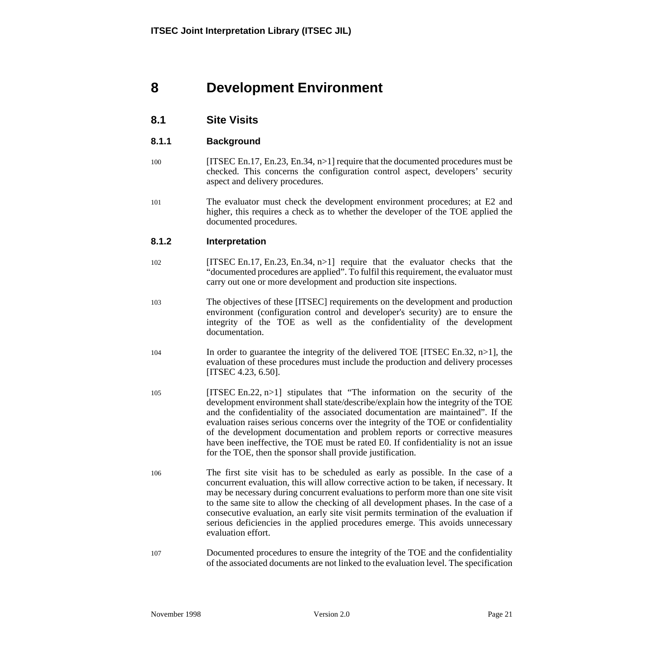# **8 Development Environment**

## **8.1 Site Visits**

#### **8.1.1 Background**

- 100 [ITSEC En.17, En.23, En.34, n>1] require that the documented procedures must be checked. This concerns the configuration control aspect, developers' security aspect and delivery procedures.
- 101 The evaluator must check the development environment procedures; at E2 and higher, this requires a check as to whether the developer of the TOE applied the documented procedures.

#### **8.1.2 Interpretation**

- 102 [ITSEC En.17, En.23, En.34, n>1] require that the evaluator checks that the "documented procedures are applied". To fulfil this requirement, the evaluator must carry out one or more development and production site inspections.
- 103 The objectives of these [ITSEC] requirements on the development and production environment (configuration control and developer's security) are to ensure the integrity of the TOE as well as the confidentiality of the development documentation.
- 104 In order to guarantee the integrity of the delivered TOE [ITSEC En.32, n>1], the evaluation of these procedures must include the production and delivery processes [ITSEC 4.23, 6.50].
- 105 [ITSEC En.22, n>1] stipulates that "The information on the security of the development environment shall state/describe/explain how the integrity of the TOE and the confidentiality of the associated documentation are maintained". If the evaluation raises serious concerns over the integrity of the TOE or confidentiality of the development documentation and problem reports or corrective measures have been ineffective, the TOE must be rated E0. If confidentiality is not an issue for the TOE, then the sponsor shall provide justification.
- 106 The first site visit has to be scheduled as early as possible. In the case of a concurrent evaluation, this will allow corrective action to be taken, if necessary. It may be necessary during concurrent evaluations to perform more than one site visit to the same site to allow the checking of all development phases. In the case of a consecutive evaluation, an early site visit permits termination of the evaluation if serious deficiencies in the applied procedures emerge. This avoids unnecessary evaluation effort.
- 107 Documented procedures to ensure the integrity of the TOE and the confidentiality of the associated documents are not linked to the evaluation level. The specification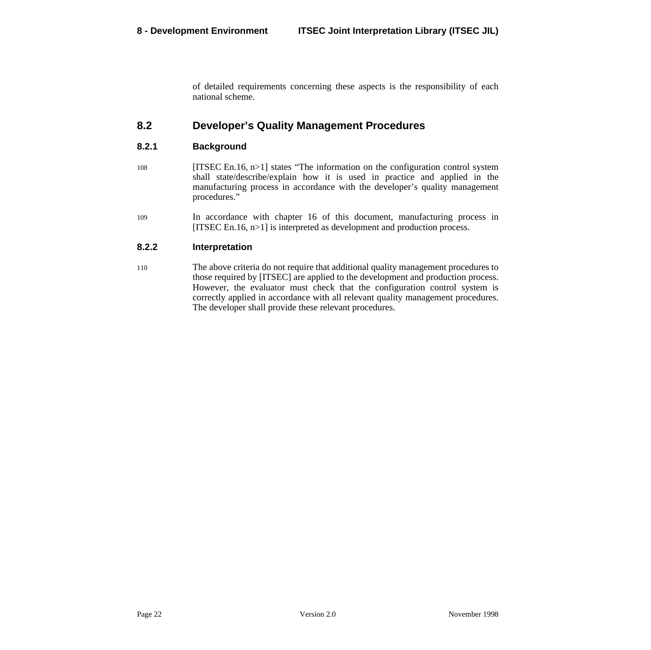of detailed requirements concerning these aspects is the responsibility of each national scheme.

## **8.2 Developer's Quality Management Procedures**

#### **8.2.1 Background**

- 108 [ITSEC En.16, n>1] states "The information on the configuration control system shall state/describe/explain how it is used in practice and applied in the manufacturing process in accordance with the developer's quality management procedures."
- 109 In accordance with chapter [16](#page-52-0) of this document, manufacturing process in [ITSEC En.16, n>1] is interpreted as development and production process.

#### **8.2.2 Interpretation**

110 The above criteria do not require that additional quality management procedures to those required by [ITSEC] are applied to the development and production process. However, the evaluator must check that the configuration control system is correctly applied in accordance with all relevant quality management procedures. The developer shall provide these relevant procedures.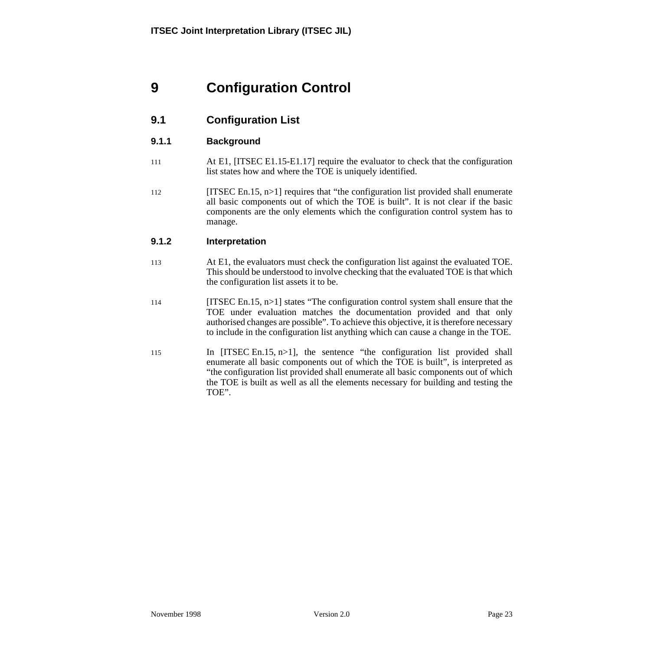# **9 Configuration Control**

# **9.1 Configuration List**

### **9.1.1 Background**

- 111 At E1, [ITSEC E1.15-E1.17] require the evaluator to check that the configuration list states how and where the TOE is uniquely identified.
- $[112$  [ITSEC En.15, n>1] requires that "the configuration list provided shall enumerate all basic components out of which the TOE is built". It is not clear if the basic components are the only elements which the configuration control system has to manage.

#### **9.1.2 Interpretation**

- 113 At E1, the evaluators must check the configuration list against the evaluated TOE. This should be understood to involve checking that the evaluated TOE is that which the configuration list assets it to be.
- 114 [ITSEC En.15, n>1] states "The configuration control system shall ensure that the TOE under evaluation matches the documentation provided and that only authorised changes are possible". To achieve this objective, it is therefore necessary to include in the configuration list anything which can cause a change in the TOE.
- 115 In [ITSEC En.15, n>1], the sentence "the configuration list provided shall enumerate all basic components out of which the TOE is built", is interpreted as "the configuration list provided shall enumerate all basic components out of which the TOE is built as well as all the elements necessary for building and testing the TOE".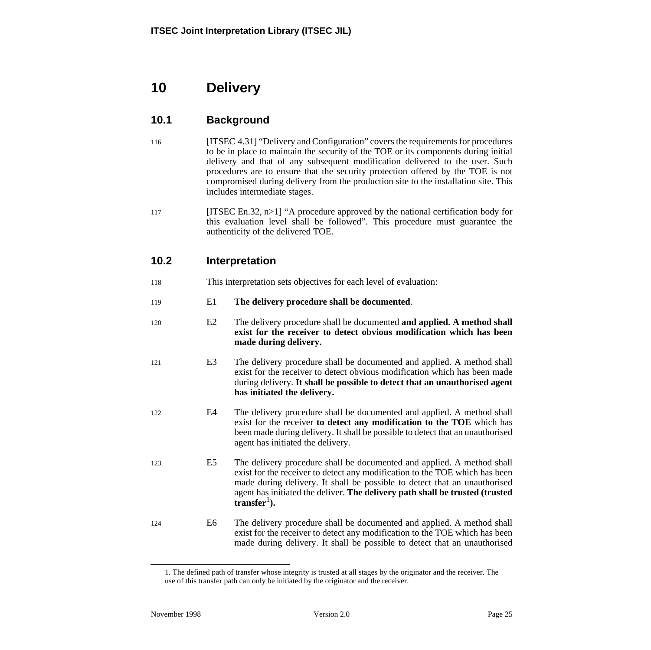# **10 Delivery**

# **10.1 Background**

- 116 [ITSEC 4.31] "Delivery and Configuration" covers the requirements for procedures to be in place to maintain the security of the TOE or its components during initial delivery and that of any subsequent modification delivered to the user. Such procedures are to ensure that the security protection offered by the TOE is not compromised during delivery from the production site to the installation site. This includes intermediate stages.
- 117 [ITSEC En.32, n>1] "A procedure approved by the national certification body for this evaluation level shall be followed". This procedure must guarantee the authenticity of the delivered TOE.

# **10.2 Interpretation**

- 118 This interpretation sets objectives for each level of evaluation:
- 119 E1 **The delivery procedure shall be documented**.
- 120 E2 The delivery procedure shall be documented **and applied. A method shall exist for the receiver to detect obvious modification which has been made during delivery.**
- 121 E3 The delivery procedure shall be documented and applied. A method shall exist for the receiver to detect obvious modification which has been made during delivery. **It shall be possible to detect that an unauthorised agent has initiated the delivery.**
- 122 E4 The delivery procedure shall be documented and applied. A method shall exist for the receiver **to detect any modification to the TOE** which has been made during delivery. It shall be possible to detect that an unauthorised agent has initiated the delivery.
- 123 E5 The delivery procedure shall be documented and applied. A method shall exist for the receiver to detect any modification to the TOE which has been made during delivery. It shall be possible to detect that an unauthorised agent has initiated the deliver. **The delivery path shall be trusted (trusted .**
- 124 E6 The delivery procedure shall be documented and applied. A method shall exist for the receiver to detect any modification to the TOE which has been made during delivery. It shall be possible to detect that an unauthorised

<sup>1.</sup> The defined path of transfer whose integrity is trusted at all stages by the originator and the receiver. The use of this transfer path can only be initiated by the originator and the receiver.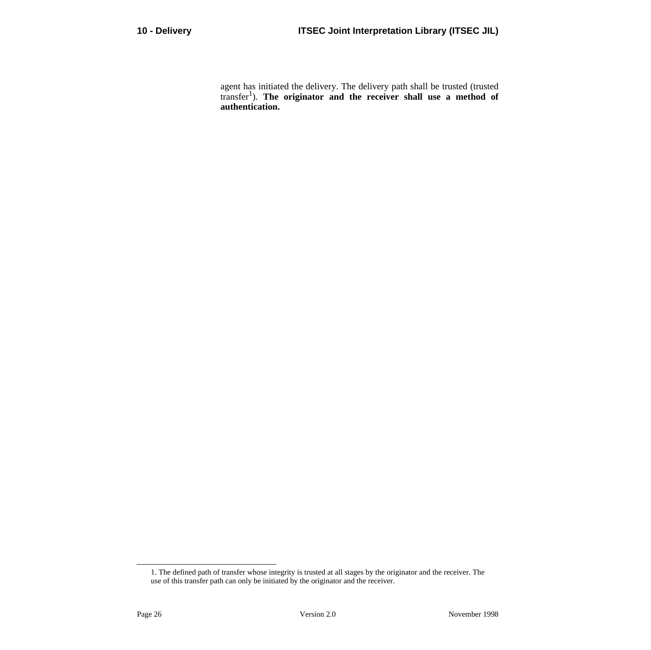agent has initiated the delivery. The delivery path shall be trusted (trusted transfer1). **The originator and the receiver shall use a method of authentication.**

<sup>1.</sup> The defined path of transfer whose integrity is trusted at all stages by the originator and the receiver. The use of this transfer path can only be initiated by the originator and the receiver.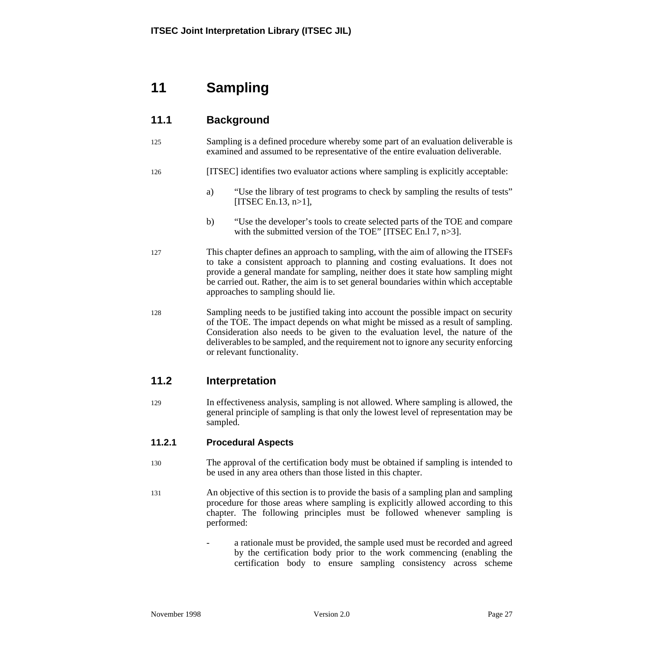# **11 Sampling**

# **11.1 Background**

125 Sampling is a defined procedure whereby some part of an evaluation deliverable is examined and assumed to be representative of the entire evaluation deliverable.

#### 126 [ITSEC] identifies two evaluator actions where sampling is explicitly acceptable:

- a) "Use the library of test programs to check by sampling the results of tests" [ITSEC En.13,  $n>1$ ],
- b) "Use the developer's tools to create selected parts of the TOE and compare with the submitted version of the TOE" [ITSEC En.1 7, n>3].
- 127 This chapter defines an approach to sampling, with the aim of allowing the ITSEFs to take a consistent approach to planning and costing evaluations. It does not provide a general mandate for sampling, neither does it state how sampling might be carried out. Rather, the aim is to set general boundaries within which acceptable approaches to sampling should lie.
- 128 Sampling needs to be justified taking into account the possible impact on security of the TOE. The impact depends on what might be missed as a result of sampling. Consideration also needs to be given to the evaluation level, the nature of the deliverables to be sampled, and the requirement not to ignore any security enforcing or relevant functionality.

## **11.2 Interpretation**

129 In effectiveness analysis, sampling is not allowed. Where sampling is allowed, the general principle of sampling is that only the lowest level of representation may be sampled.

### **11.2.1 Procedural Aspects**

- 130 The approval of the certification body must be obtained if sampling is intended to be used in any area others than those listed in this chapter.
- 131 An objective of this section is to provide the basis of a sampling plan and sampling procedure for those areas where sampling is explicitly allowed according to this chapter. The following principles must be followed whenever sampling is performed:
	- a rationale must be provided, the sample used must be recorded and agreed by the certification body prior to the work commencing (enabling the certification body to ensure sampling consistency across scheme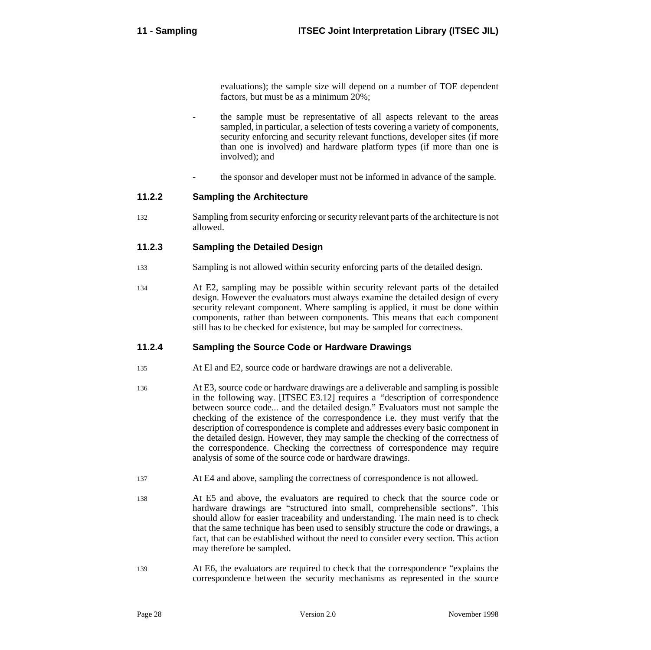evaluations); the sample size will depend on a number of TOE dependent factors, but must be as a minimum 20%;

- the sample must be representative of all aspects relevant to the areas sampled, in particular, a selection of tests covering a variety of components, security enforcing and security relevant functions, developer sites (if more than one is involved) and hardware platform types (if more than one is involved); and
- the sponsor and developer must not be informed in advance of the sample.

#### **11.2.2 Sampling the Architecture**

132 Sampling from security enforcing or security relevant parts of the architecture is not allowed.

#### **11.2.3 Sampling the Detailed Design**

- 133 Sampling is not allowed within security enforcing parts of the detailed design.
- 134 At E2, sampling may be possible within security relevant parts of the detailed design. However the evaluators must always examine the detailed design of every security relevant component. Where sampling is applied, it must be done within components, rather than between components. This means that each component still has to be checked for existence, but may be sampled for correctness.

#### **11.2.4 Sampling the Source Code or Hardware Drawings**

- 135 At El and E2, source code or hardware drawings are not a deliverable.
- 136 At E3, source code or hardware drawings are a deliverable and sampling is possible in the following way. [ITSEC E3.12] requires a *"*description of correspondence between source code... and the detailed design." Evaluators must not sample the checking of the existence of the correspondence i.e. they must verify that the description of correspondence is complete and addresses every basic component in the detailed design. However, they may sample the checking of the correctness of the correspondence. Checking the correctness of correspondence may require analysis of some of the source code or hardware drawings.
- 137 At E4 and above, sampling the correctness of correspondence is not allowed.
- 138 At E5 and above, the evaluators are required to check that the source code or hardware drawings are "structured into small, comprehensible sections". This should allow for easier traceability and understanding. The main need is to check that the same technique has been used to sensibly structure the code or drawings, a fact, that can be established without the need to consider every section. This action may therefore be sampled.
- 139 At E6, the evaluators are required to check that the correspondence "explains the correspondence between the security mechanisms as represented in the source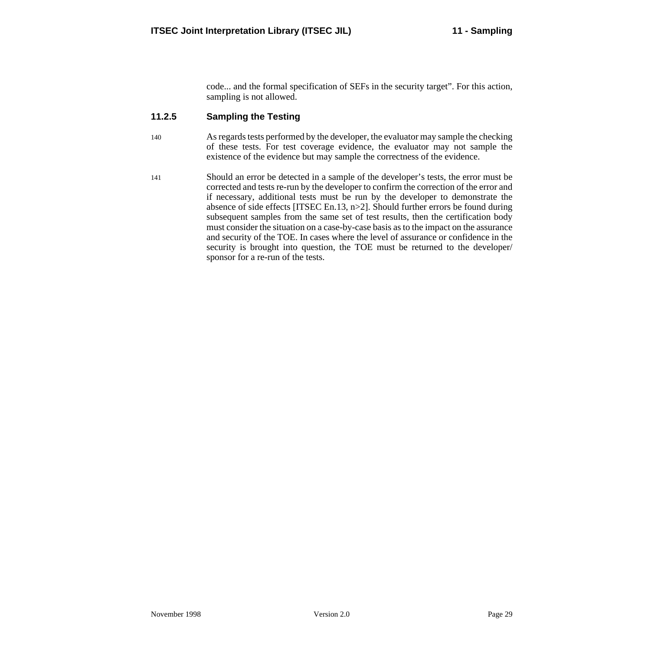code... and the formal specification of SEFs in the security target". For this action, sampling is not allowed.

## **11.2.5 Sampling the Testing**

- 140 As regards tests performed by the developer, the evaluator may sample the checking of these tests. For test coverage evidence, the evaluator may not sample the existence of the evidence but may sample the correctness of the evidence.
- 141 Should an error be detected in a sample of the developer's tests, the error must be corrected and tests re-run by the developer to confirm the correction of the error and if necessary, additional tests must be run by the developer to demonstrate the absence of side effects [ITSEC En.13, n>2]. Should further errors be found during subsequent samples from the same set of test results, then the certification body must consider the situation on a case-by-case basis as to the impact on the assurance and security of the TOE. In cases where the level of assurance or confidence in the security is brought into question, the TOE must be returned to the developer/ sponsor for a re-run of the tests.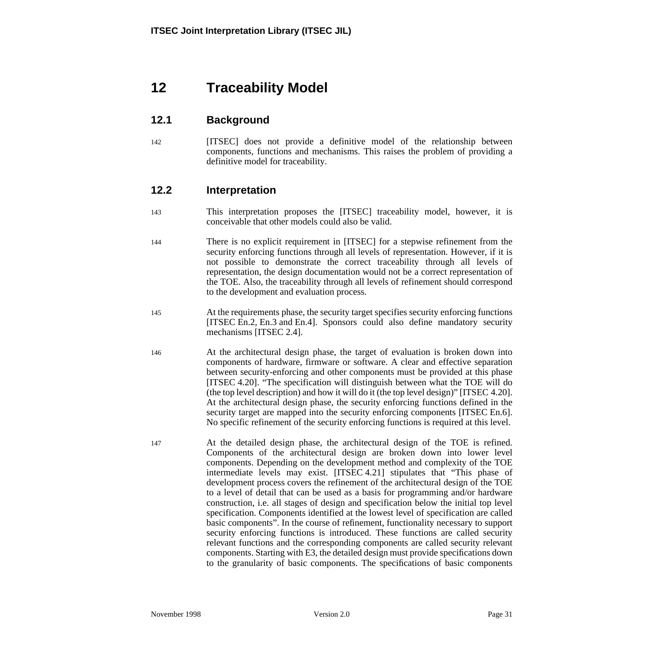# **12 Traceability Model**

# **12.1 Background**

142 [ITSEC] does not provide a definitive model of the relationship between components, functions and mechanisms. This raises the problem of providing a definitive model for traceability.

## **12.2 Interpretation**

- 143 This interpretation proposes the [ITSEC] traceability model, however, it is conceivable that other models could also be valid.
- 144 There is no explicit requirement in [ITSEC] for a stepwise refinement from the security enforcing functions through all levels of representation. However, if it is not possible to demonstrate the correct traceability through all levels of representation, the design documentation would not be a correct representation of the TOE. Also, the traceability through all levels of refinement should correspond to the development and evaluation process.
- 145 At the requirements phase, the security target specifies security enforcing functions [ITSEC En.2, En.3 and En.4]. Sponsors could also define mandatory security mechanisms [ITSEC 2.4].
- 146 At the architectural design phase, the target of evaluation is broken down into components of hardware, firmware or software. A clear and effective separation between security-enforcing and other components must be provided at this phase [ITSEC 4.20]. "The specification will distinguish between what the TOE will do (the top level description) and how it will do it (the top level design)" [ITSEC 4.20]. At the architectural design phase, the security enforcing functions defined in the security target are mapped into the security enforcing components [ITSEC En.6]. No specific refinement of the security enforcing functions is required at this level.
- 147 At the detailed design phase, the architectural design of the TOE is refined. Components of the architectural design are broken down into lower level components. Depending on the development method and complexity of the TOE intermediate levels may exist. [ITSEC 4.21] stipulates that "This phase of development process covers the refinement of the architectural design of the TOE to a level of detail that can be used as a basis for programming and/or hardware construction, i.e. all stages of design and specification below the initial top level specification. Components identified at the lowest level of specification are called basic components". In the course of refinement, functionality necessary to support security enforcing functions is introduced. These functions are called security relevant functions and the corresponding components are called security relevant components. Starting with E3, the detailed design must provide specifications down to the granularity of basic components. The specifications of basic components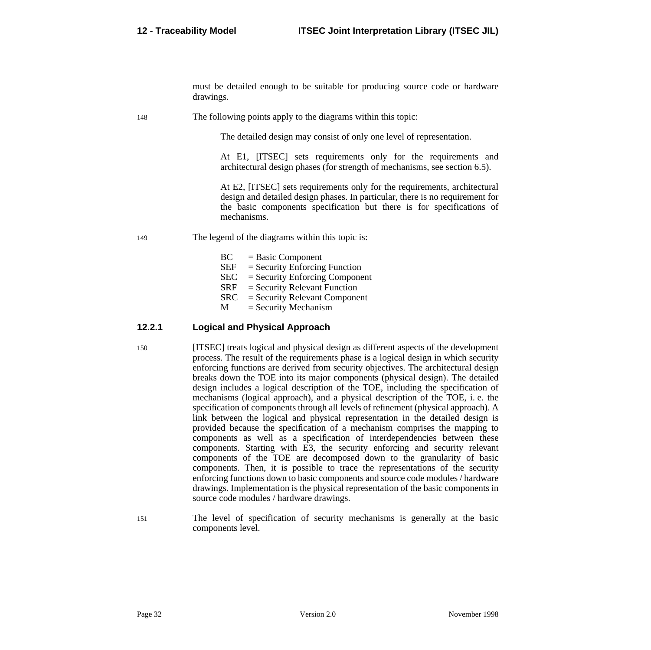must be detailed enough to be suitable for producing source code or hardware drawings.

148 The following points apply to the diagrams within this topic:

The detailed design may consist of only one level of representation.

At E1, [ITSEC] sets requirements only for the requirements and architectural design phases (for strength of mechanisms, see section 6.[5\).](#page-25-0)

At E2, [ITSEC] sets requirements only for the requirements, architectural design and detailed design phases. In particular, there is no requirement for the basic components specification but there is for specifications of mechanisms.

- 149 The legend of the diagrams within this topic is:
	- $BC = Basic Component  
	SEF = Security Enforcing$  $=$  Security Enforcing Function  $SEC = Security Enforcing Component$  $SRF = Security$  Relevant Function SRC = Security Relevant Component  $M =$  Security Mechanism

#### **12.2.1 Logical and Physical Approach**

- 150 [ITSEC] treats logical and physical design as different aspects of the development process. The result of the requirements phase is a logical design in which security enforcing functions are derived from security objectives. The architectural design breaks down the TOE into its major components (physical design). The detailed design includes a logical description of the TOE, including the specification of mechanisms (logical approach), and a physical description of the TOE, i. e. the specification of components through all levels of refinement (physical approach). A link between the logical and physical representation in the detailed design is provided because the specification of a mechanism comprises the mapping to components as well as a specification of interdependencies between these components. Starting with E3, the security enforcing and security relevant components of the TOE are decomposed down to the granularity of basic components. Then, it is possible to trace the representations of the security enforcing functions down to basic components and source code modules / hardware drawings. Implementation is the physical representation of the basic components in source code modules / hardware drawings.
- 151 The level of specification of security mechanisms is generally at the basic components level.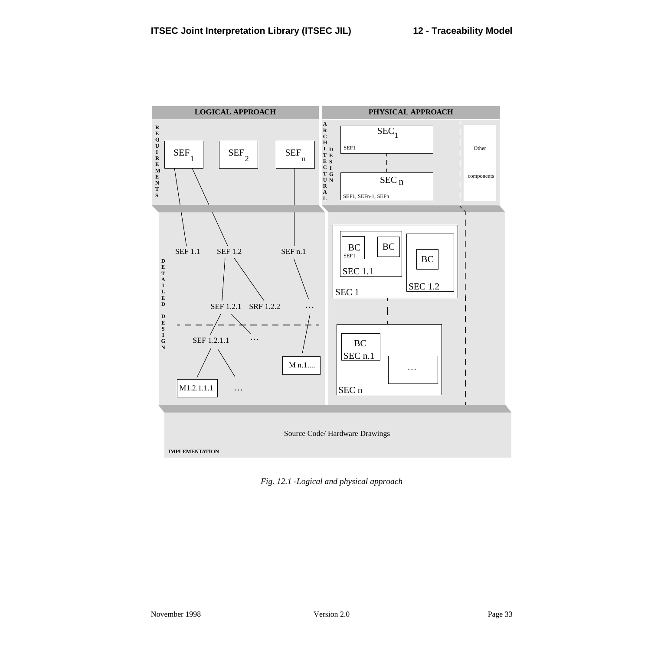

*Fig. 12.1 -Logical and physical approach*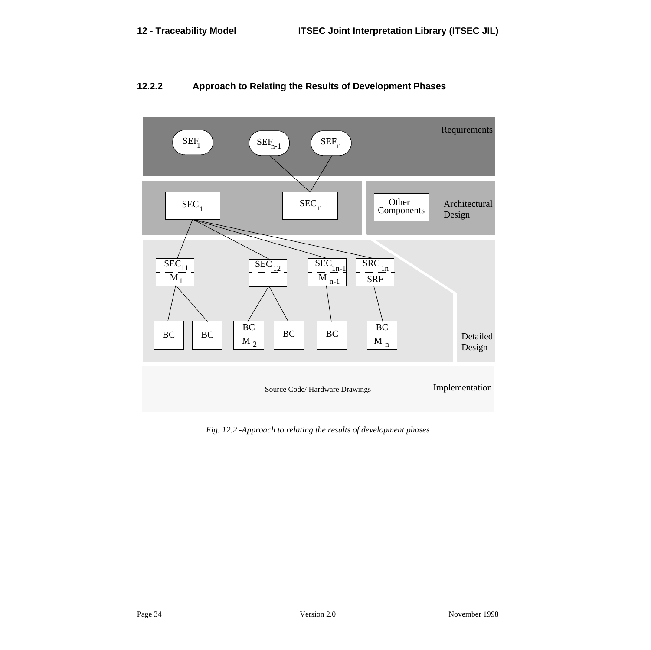

## **12.2.2 Approach to Relating the Results of Development Phases**

*Fig. 12.2 -Approach to relating the results of development phases*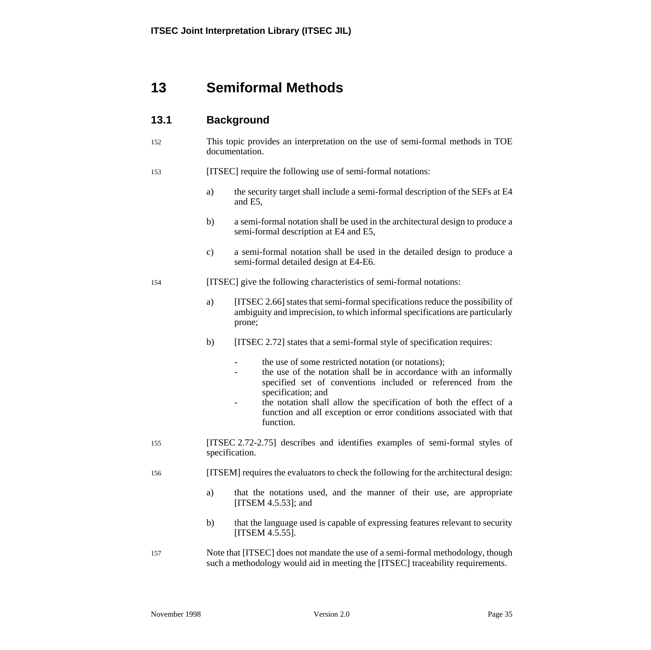# **13 Semiformal Methods**

# **13.1 Background**

152 This topic provides an interpretation on the use of semi-formal methods in TOE documentation.

#### 153 [ITSEC] require the following use of semi-formal notations:

- a) the security target shall include a semi-formal description of the SEFs at E4 and E5,
- b) a semi-formal notation shall be used in the architectural design to produce a semi-formal description at E4 and E5,
- c) a semi-formal notation shall be used in the detailed design to produce a semi-formal detailed design at E4-E6.

#### 154 [ITSEC] give the following characteristics of semi-formal notations:

- a) [ITSEC 2.66] states that semi-formal specifications reduce the possibility of ambiguity and imprecision, to which informal specifications are particularly prone;
- b) [ITSEC 2.72] states that a semi-formal style of specification requires:
	- the use of some restricted notation (or notations):
	- the use of the notation shall be in accordance with an informally specified set of conventions included or referenced from the specification; and
	- the notation shall allow the specification of both the effect of a function and all exception or error conditions associated with that function.
- 155 [ITSEC 2.72-2.75] describes and identifies examples of semi-formal styles of specification.
- 156 [ITSEM] requires the evaluators to check the following for the architectural design:
	- a) that the notations used, and the manner of their use, are appropriate [ITSEM 4.5.53]; and
	- b) that the language used is capable of expressing features relevant to security [ITSEM 4.5.55].
- 157 Note that [ITSEC] does not mandate the use of a semi-formal methodology, though such a methodology would aid in meeting the [ITSEC] traceability requirements.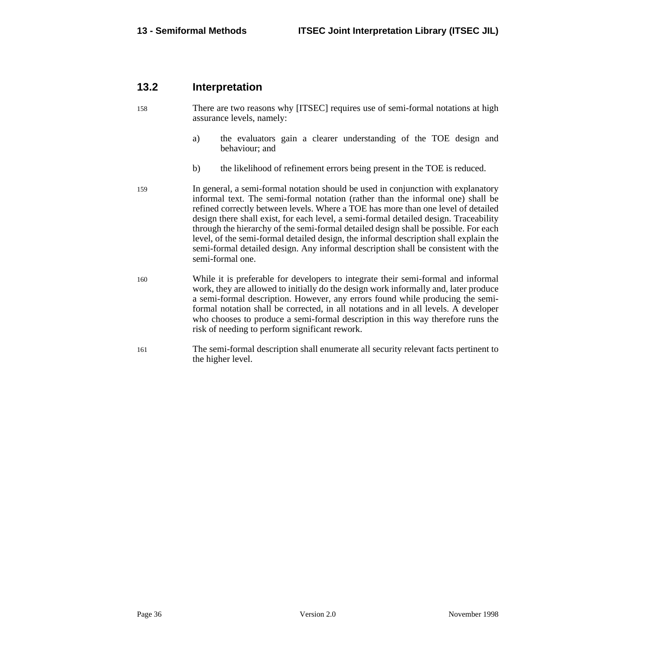## **13.2 Interpretation**

- 158 There are two reasons why [ITSEC] requires use of semi-formal notations at high assurance levels, namely:
	- a) the evaluators gain a clearer understanding of the TOE design and behaviour; and
	- b) the likelihood of refinement errors being present in the TOE is reduced.
- 159 In general, a semi-formal notation should be used in conjunction with explanatory informal text. The semi-formal notation (rather than the informal one) shall be refined correctly between levels. Where a TOE has more than one level of detailed design there shall exist, for each level, a semi-formal detailed design. Traceability through the hierarchy of the semi-formal detailed design shall be possible. For each level, of the semi-formal detailed design, the informal description shall explain the semi-formal detailed design. Any informal description shall be consistent with the semi-formal one.
- 160 While it is preferable for developers to integrate their semi-formal and informal work, they are allowed to initially do the design work informally and, later produce a semi-formal description. However, any errors found while producing the semiformal notation shall be corrected, in all notations and in all levels. A developer who chooses to produce a semi-formal description in this way therefore runs the risk of needing to perform significant rework.
- 161 The semi-formal description shall enumerate all security relevant facts pertinent to the higher level.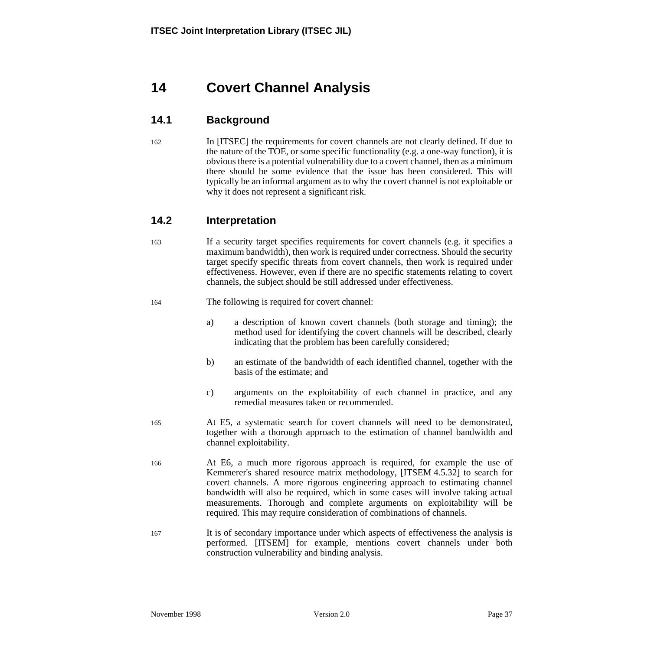# <span id="page-44-0"></span>**14 Covert Channel Analysis**

# **14.1 Background**

162 In [ITSEC] the requirements for covert channels are not clearly defined. If due to the nature of the TOE, or some specific functionality (e.g. a one-way function), it is obvious there is a potential vulnerability due to a covert channel, then as a minimum there should be some evidence that the issue has been considered. This will typically be an informal argument as to why the covert channel is not exploitable or why it does not represent a significant risk.

# **14.2 Interpretation**

163 If a security target specifies requirements for covert channels (e.g. it specifies a maximum bandwidth), then work is required under correctness. Should the security target specify specific threats from covert channels, then work is required under effectiveness. However, even if there are no specific statements relating to covert channels, the subject should be still addressed under effectiveness.

164 The following is required for covert channel:

- a) a description of known covert channels (both storage and timing); the method used for identifying the covert channels will be described, clearly indicating that the problem has been carefully considered;
- b) an estimate of the bandwidth of each identified channel, together with the basis of the estimate; and
- c) arguments on the exploitability of each channel in practice, and any remedial measures taken or recommended.
- 165 At E5, a systematic search for covert channels will need to be demonstrated, together with a thorough approach to the estimation of channel bandwidth and channel exploitability.
- 166 At E6, a much more rigorous approach is required, for example the use of Kemmerer's shared resource matrix methodology, [ITSEM 4.5.32] to search for covert channels. A more rigorous engineering approach to estimating channel bandwidth will also be required, which in some cases will involve taking actual measurements. Thorough and complete arguments on exploitability will be required. This may require consideration of combinations of channels.
- 167 It is of secondary importance under which aspects of effectiveness the analysis is performed. [ITSEM] for example, mentions covert channels under both construction vulnerability and binding analysis.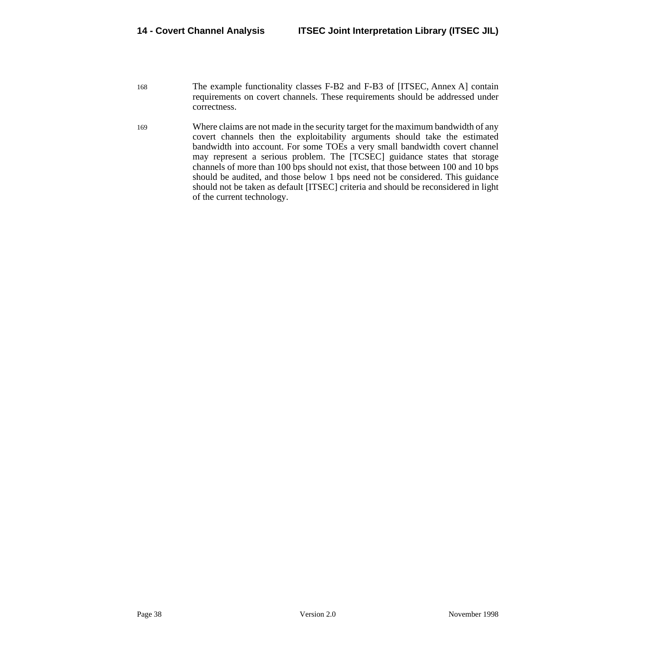- 168 The example functionality classes F-B2 and F-B3 of [ITSEC, Annex A] contain requirements on covert channels. These requirements should be addressed under correctness.
- 169 Where claims are not made in the security target for the maximum bandwidth of any covert channels then the exploitability arguments should take the estimated bandwidth into account. For some TOEs a very small bandwidth covert channel may represent a serious problem. The [TCSEC] guidance states that storage channels of more than 100 bps should not exist, that those between 100 and 10 bps should be audited, and those below 1 bps need not be considered. This guidance should not be taken as default [ITSEC] criteria and should be reconsidered in light of the current technology.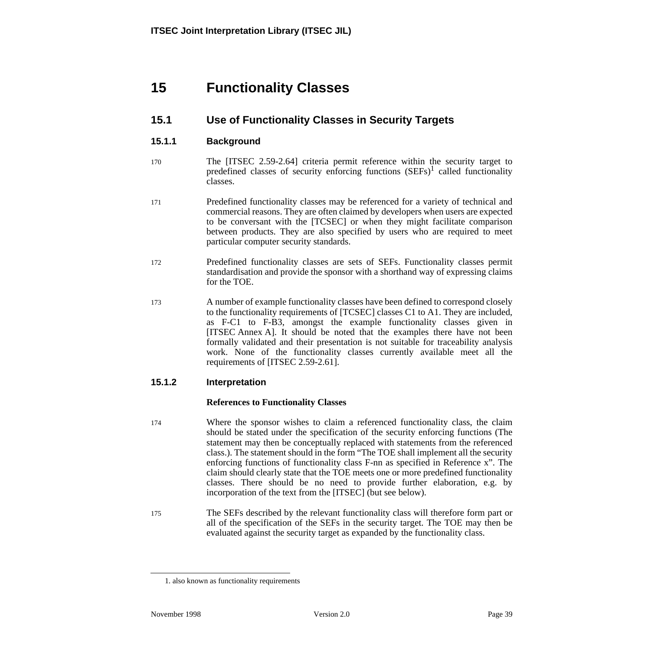# **15 Functionality Classes**

# **15.1 Use of Functionality Classes in Security Targets**

### **15.1.1 Background**

- 170 The [ITSEC 2.59-2.64] criteria permit reference within the security target to predefined classes of security enforcing functions  $(SEFs)^1$  called functionality classes.
- 171 Predefined functionality classes may be referenced for a variety of technical and commercial reasons. They are often claimed by developers when users are expected to be conversant with the [TCSEC] or when they might facilitate comparison between products. They are also specified by users who are required to meet particular computer security standards.
- 172 Predefined functionality classes are sets of SEFs. Functionality classes permit standardisation and provide the sponsor with a shorthand way of expressing claims for the TOE.
- 173 A number of example functionality classes have been defined to correspond closely to the functionality requirements of [TCSEC] classes C1 to A1. They are included, as F-C1 to F-B3, amongst the example functionality classes given in [ITSEC Annex A]. It should be noted that the examples there have not been formally validated and their presentation is not suitable for traceability analysis work. None of the functionality classes currently available meet all the requirements of [ITSEC 2.59-2.61].

## **15.1.2 Interpretation**

#### **References to Functionality Classes**

- 174 Where the sponsor wishes to claim a referenced functionality class, the claim should be stated under the specification of the security enforcing functions (The statement may then be conceptually replaced with statements from the referenced class.). The statement should in the form "The TOE shall implement all the security enforcing functions of functionality class F-nn as specified in Reference x". The claim should clearly state that the TOE meets one or more predefined functionality classes. There should be no need to provide further elaboration, e.g. by incorporation of the text from the [ITSEC] (but see below).
- 175 The SEFs described by the relevant functionality class will therefore form part or all of the specification of the SEFs in the security target. The TOE may then be evaluated against the security target as expanded by the functionality class.

<sup>1.</sup> also known as functionality requirements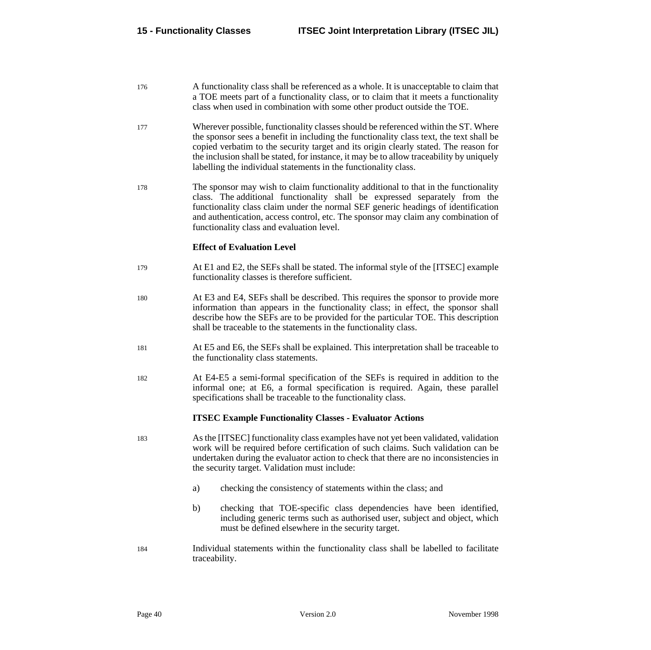- <span id="page-47-0"></span>176 A functionality class shall be referenced as a whole. It is unacceptable to claim that a TOE meets part of a functionality class, or to claim that it meets a functionality class when used in combination with some other product outside the TOE.
- 177 Wherever possible, functionality classes should be referenced within the ST. Where the sponsor sees a benefit in including the functionality class text, the text shall be copied verbatim to the security target and its origin clearly stated. The reason for the inclusion shall be stated, for instance, it may be to allow traceability by uniquely labelling the individual statements in the functionality class.
- 178 The sponsor may wish to claim functionality additional to that in the functionality class. The additional functionality shall be expressed separately from the functionality class claim under the normal SEF generic headings of identification and authentication, access control, etc. The sponsor may claim any combination of functionality class and evaluation level.

#### **Effect of Evaluation Level**

- 179 At E1 and E2, the SEFs shall be stated. The informal style of the [ITSEC] example functionality classes is therefore sufficient.
- 180 At E3 and E4, SEFs shall be described. This requires the sponsor to provide more information than appears in the functionality class; in effect, the sponsor shall describe how the SEFs are to be provided for the particular TOE. This description shall be traceable to the statements in the functionality class.
- 181 At E5 and E6, the SEFs shall be explained. This interpretation shall be traceable to the functionality class statements.
- 182 At E4-E5 a semi-formal specification of the SEFs is required in addition to the informal one; at E6, a formal specification is required. Again, these parallel specifications shall be traceable to the functionality class.

#### **ITSEC Example Functionality Classes - Evaluator Actions**

- 183 As the [ITSEC] functionality class examples have not yet been validated, validation work will be required before certification of such claims. Such validation can be undertaken during the evaluator action to check that there are no inconsistencies in the security target. Validation must include:
	- a) checking the consistency of statements within the class; and
	- b) checking that TOE-specific class dependencies have been identified, including generic terms such as authorised user, subject and object, which must be defined elsewhere in the security target.
- 184 Individual statements within the functionality class shall be labelled to facilitate traceability.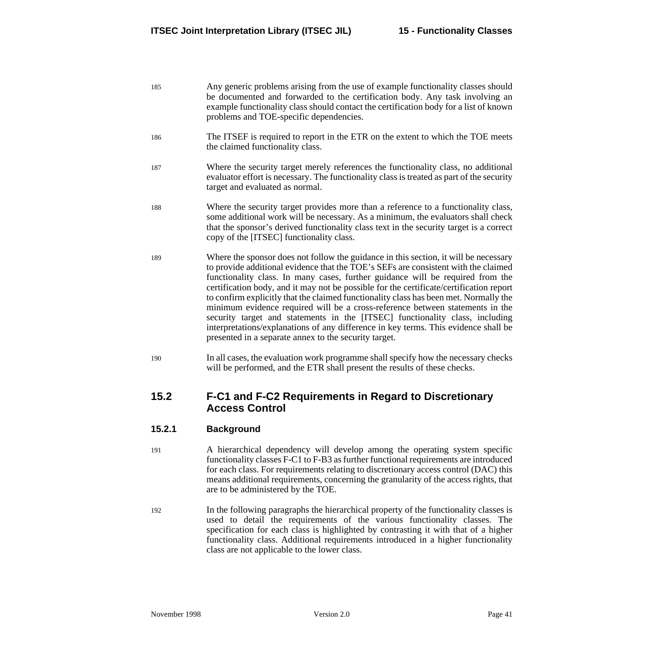- 185 Any generic problems arising from the use of example functionality classes should be documented and forwarded to the certification body. Any task involving an example functionality class should contact the certification body for a list of known problems and TOE-specific dependencies.
- 186 The ITSEF is required to report in the ETR on the extent to which the TOE meets the claimed functionality class.
- 187 Where the security target merely references the functionality class, no additional evaluator effort is necessary. The functionality class is treated as part of the security target and evaluated as normal.
- 188 Where the security target provides more than a reference to a functionality class, some additional work will be necessary. As a minimum, the evaluators shall check that the sponsor's derived functionality class text in the security target is a correct copy of the [ITSEC] functionality class.
- 189 Where the sponsor does not follow the guidance in this section, it will be necessary to provide additional evidence that the TOE's SEFs are consistent with the claimed functionality class. In many cases, further guidance will be required from the certification body, and it may not be possible for the certificate/certification report to confirm explicitly that the claimed functionality class has been met. Normally the minimum evidence required will be a cross-reference between statements in the security target and statements in the [ITSEC] functionality class, including interpretations/explanations of any difference in key terms. This evidence shall be presented in a separate annex to the security target.
- 190 In all cases, the evaluation work programme shall specify how the necessary checks will be performed, and the ETR shall present the results of these checks.

## **15.2 F-C1 and F-C2 Requirements in Regard to Discretionary Access Control**

## **15.2.1 Background**

- 191 A hierarchical dependency will develop among the operating system specific functionality classes F-C1 to F-B3 as further functional requirements are introduced for each class. For requirements relating to discretionary access control (DAC) this means additional requirements, concerning the granularity of the access rights, that are to be administered by the TOE.
- 192 In the following paragraphs the hierarchical property of the functionality classes is used to detail the requirements of the various functionality classes. The specification for each class is highlighted by contrasting it with that of a higher functionality class. Additional requirements introduced in a higher functionality class are not applicable to the lower class.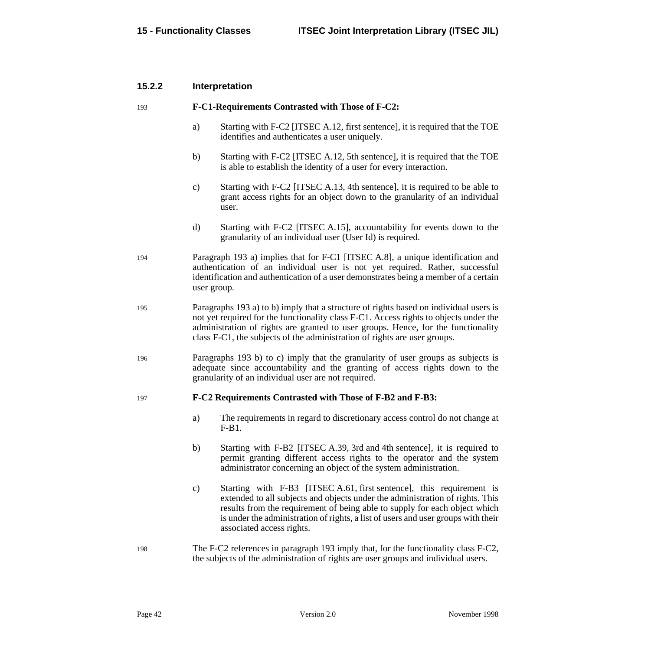#### <span id="page-49-0"></span>**15.2.2 Interpretation**

#### 193 **F-C1-Requirements Contrasted with Those of F-C2:**

- a) Starting with F-C2 [ITSEC A.12, first sentence], it is required that the TOE identifies and authenticates a user uniquely.
- b) Starting with F-C2 [ITSEC A.12, 5th sentence], it is required that the TOE is able to establish the identity of a user for every interaction.
- c) Starting with F-C2 [ITSEC A.13, 4th sentence], it is required to be able to grant access rights for an object down to the granularity of an individual user.
- d) Starting with F-C2 [ITSEC A.15], accountability for events down to the granularity of an individual user (User Id) is required.
- 194 Paragraph 193 a) implies that for F-C1 [ITSEC A.8], a unique identification and authentication of an individual user is not yet required. Rather, successful identification and authentication of a user demonstrates being a member of a certain user group.
- 195 Paragraphs 193 a) to b) imply that a structure of rights based on individual users is not yet required for the functionality class F-C1. Access rights to objects under the administration of rights are granted to user groups. Hence, for the functionality class F-C1, the subjects of the administration of rights are user groups.
- 196 Paragraphs 193 [b\)](#page-47-0) to c) imply that the granularity of user groups as subjects is adequate since accountability and the granting of access rights down to the granularity of an individual user are not required.

#### 197 **F-C2 Requirements Contrasted with Those of F-B2 and F-B3:**

- a) The requirements in regard to discretionary access control do not change at  $F-R1$ .
- b) Starting with F-B2 [ITSEC A.39, 3rd and 4th sentence], it is required to permit granting different access rights to the operator and the system administrator concerning an object of the system administration.
- c) Starting with F-B3 [ITSEC A.61, first sentence], this requirement is extended to all subjects and objects under the administration of rights. This results from the requirement of being able to supply for each object which is under the administration of rights, a list of users and user groups with their associated access rights.
- 198 The F-C2 references in paragraph 193 imply that, for the functionality class F-C2, the subjects of the administration of rights are user groups and individual users.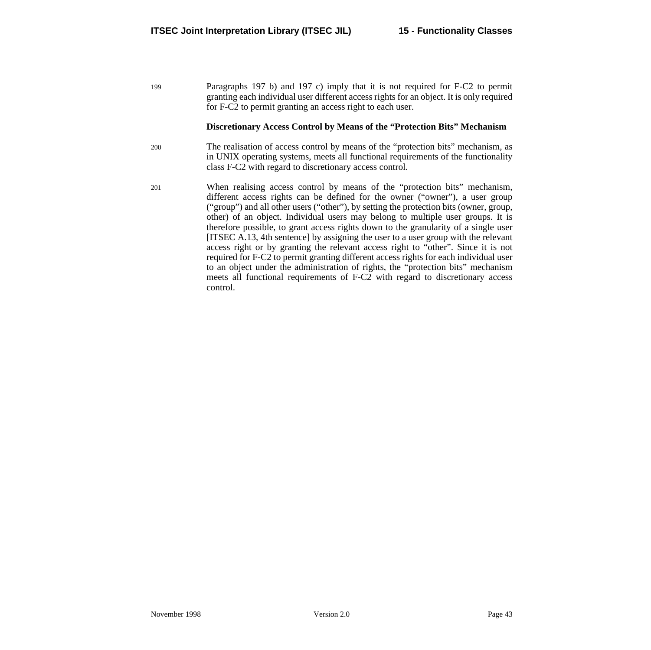199 Paragraphs [197](#page-49-0) [b\)](#page-49-0) and [197](#page-49-0) [c\)](#page-49-0) imply that it is not required for F-C2 to permit granting each individual user different access rights for an object. It is only required for F-C2 to permit granting an access right to each user.

#### **Discretionary Access Control by Means of the "Protection Bits" Mechanism**

- 200 The realisation of access control by means of the "protection bits" mechanism, as in UNIX operating systems, meets all functional requirements of the functionality class F-C2 with regard to discretionary access control.
- 201 When realising access control by means of the "protection bits" mechanism, different access rights can be defined for the owner ("owner"), a user group ("group") and all other users ("other"), by setting the protection bits (owner, group, other) of an object. Individual users may belong to multiple user groups. It is therefore possible, to grant access rights down to the granularity of a single user [ITSEC A.13, 4th sentence] by assigning the user to a user group with the relevant access right or by granting the relevant access right to "other". Since it is not required for F-C2 to permit granting different access rights for each individual user to an object under the administration of rights, the "protection bits" mechanism meets all functional requirements of F-C2 with regard to discretionary access control.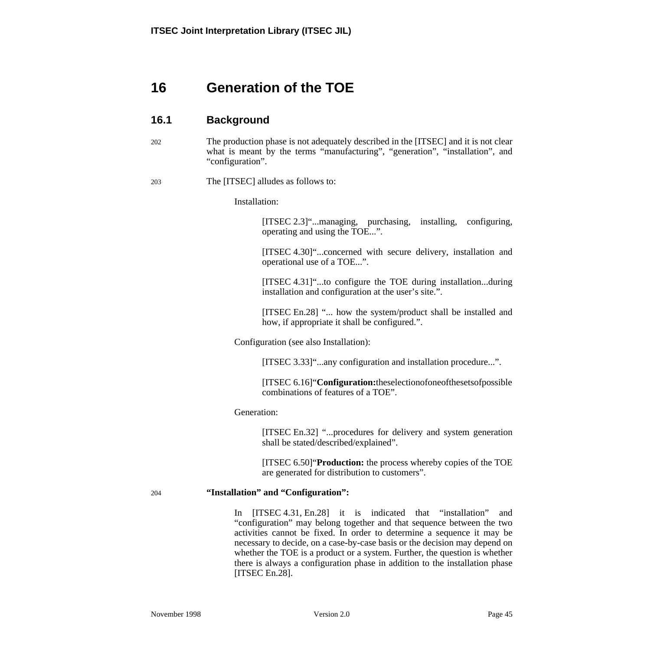# <span id="page-52-0"></span>**16 Generation of the TOE**

## **16.1 Background**

202 The production phase is not adequately described in the [ITSEC] and it is not clear what is meant by the terms "manufacturing", "generation", "installation", and "configuration".

#### 203 The [ITSEC] alludes as follows to:

Installation:

[ITSEC 2.3]"...managing, purchasing, installing, configuring, operating and using the TOE...".

[ITSEC 4.30]"...concerned with secure delivery, installation and operational use of a TOE...".

[ITSEC 4.31]"...to configure the TOE during installation...during installation and configuration at the user's site.".

[ITSEC En.28] "... how the system/product shall be installed and how, if appropriate it shall be configured.".

Configuration (see also Installation):

[ITSEC 3.33]"...any configuration and installation procedure...".

[ITSEC 6.16]"**Configuration:**theselectionofoneofthesetsofpossible combinations of features of a TOE".

#### Generation:

[ITSEC En.32] "...procedures for delivery and system generation shall be stated/described/explained".

[ITSEC 6.50]"**Production:** the process whereby copies of the TOE are generated for distribution to customers".

#### 204 **"Installation" and "Configuration":**

In [ITSEC 4.31, En.28] it is indicated that "installation" and "configuration" may belong together and that sequence between the two activities cannot be fixed. In order to determine a sequence it may be necessary to decide, on a case-by-case basis or the decision may depend on whether the TOE is a product or a system. Further, the question is whether there is always a configuration phase in addition to the installation phase [ITSEC En.28].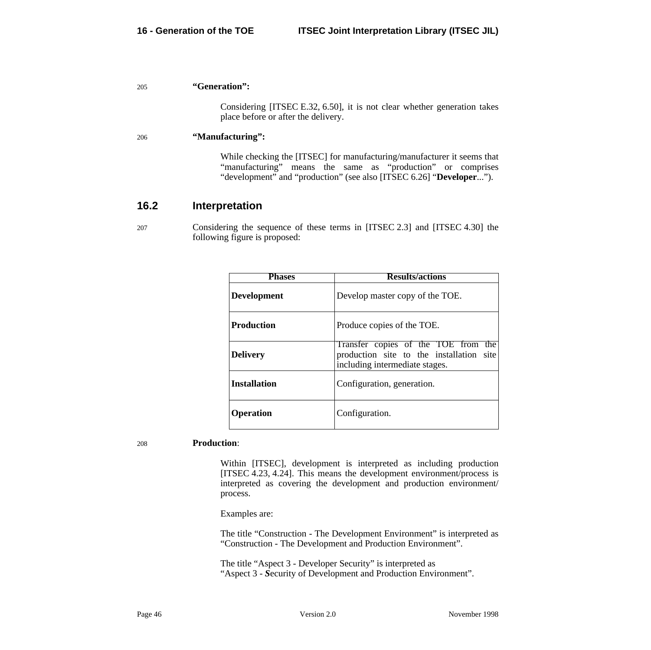#### 205 **"Generation":**

Considering [ITSEC E.32, 6.50], it is not clear whether generation takes place before or after the delivery.

#### 206 **"Manufacturing":**

While checking the [ITSEC] for manufacturing/manufacturer it seems that "manufacturing" means the same as "production" or comprises "development" and "production" (see also [ITSEC 6.26] "Developer...").

## **16.2 Interpretation**

207 Considering the sequence of these terms in [ITSEC 2.3] and [ITSEC 4.30] the following figure is proposed:

| Phases              | <b>Results/actions</b>                                                                                            |  |
|---------------------|-------------------------------------------------------------------------------------------------------------------|--|
| <b>Development</b>  | Develop master copy of the TOE.                                                                                   |  |
| <b>Production</b>   | Produce copies of the TOE.                                                                                        |  |
| <b>Delivery</b>     | Transfer copies of the TOE from the<br>production site to the installation site<br>including intermediate stages. |  |
| <b>Installation</b> | Configuration, generation.                                                                                        |  |
| <b>Operation</b>    | Configuration.                                                                                                    |  |

#### 208 **Production**:

Within [ITSEC], development is interpreted as including production [ITSEC 4.23, 4.24]. This means the development environment/process is interpreted as covering the development and production environment/ process.

Examples are:

The title "Construction - The Development Environment" is interpreted as "Construction - The Development and Production Environment".

The title "Aspect 3 - Developer Security" is interpreted as "Aspect 3 - *S*ecurity of Development and Production Environment".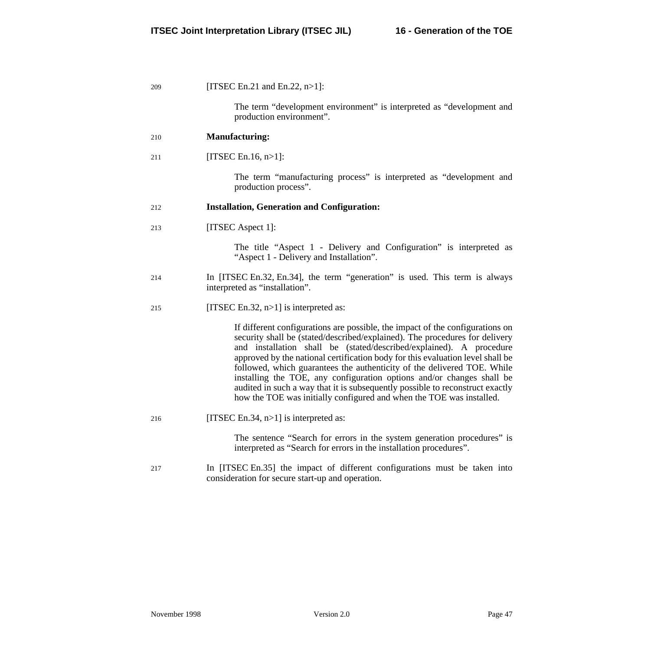| 209 | [ITSEC En.21 and En.22, $n>1$ ]:                                                                                                                                                                                                                                                                                                                                                                                                                                                                                                                                                                                                   |  |
|-----|------------------------------------------------------------------------------------------------------------------------------------------------------------------------------------------------------------------------------------------------------------------------------------------------------------------------------------------------------------------------------------------------------------------------------------------------------------------------------------------------------------------------------------------------------------------------------------------------------------------------------------|--|
|     | The term "development environment" is interpreted as "development and<br>production environment".                                                                                                                                                                                                                                                                                                                                                                                                                                                                                                                                  |  |
| 210 | <b>Manufacturing:</b>                                                                                                                                                                                                                                                                                                                                                                                                                                                                                                                                                                                                              |  |
| 211 | [ITSEC En.16, $n>1$ ]:                                                                                                                                                                                                                                                                                                                                                                                                                                                                                                                                                                                                             |  |
|     | The term "manufacturing process" is interpreted as "development and<br>production process".                                                                                                                                                                                                                                                                                                                                                                                                                                                                                                                                        |  |
| 212 | <b>Installation, Generation and Configuration:</b>                                                                                                                                                                                                                                                                                                                                                                                                                                                                                                                                                                                 |  |
| 213 | [ITSEC Aspect 1]:                                                                                                                                                                                                                                                                                                                                                                                                                                                                                                                                                                                                                  |  |
|     | The title "Aspect 1 - Delivery and Configuration" is interpreted as<br>"Aspect 1 - Delivery and Installation".                                                                                                                                                                                                                                                                                                                                                                                                                                                                                                                     |  |
| 214 | In [ITSEC En.32, En.34], the term "generation" is used. This term is always<br>interpreted as "installation".                                                                                                                                                                                                                                                                                                                                                                                                                                                                                                                      |  |
| 215 | [ITSEC En.32, $n>1$ ] is interpreted as:                                                                                                                                                                                                                                                                                                                                                                                                                                                                                                                                                                                           |  |
|     | If different configurations are possible, the impact of the configurations on<br>security shall be (stated/described/explained). The procedures for delivery<br>and installation shall be (stated/described/explained). A procedure<br>approved by the national certification body for this evaluation level shall be<br>followed, which guarantees the authenticity of the delivered TOE. While<br>installing the TOE, any configuration options and/or changes shall be<br>audited in such a way that it is subsequently possible to reconstruct exactly<br>how the TOE was initially configured and when the TOE was installed. |  |
| 216 | [ITSEC En.34, $n>1$ ] is interpreted as:                                                                                                                                                                                                                                                                                                                                                                                                                                                                                                                                                                                           |  |
|     | The sentence "Search for errors in the system generation procedures" is<br>interpreted as "Search for errors in the installation procedures".                                                                                                                                                                                                                                                                                                                                                                                                                                                                                      |  |
| 217 | In [ITSEC En.35] the impact of different configurations must be taken into<br>consideration for secure start-up and operation.                                                                                                                                                                                                                                                                                                                                                                                                                                                                                                     |  |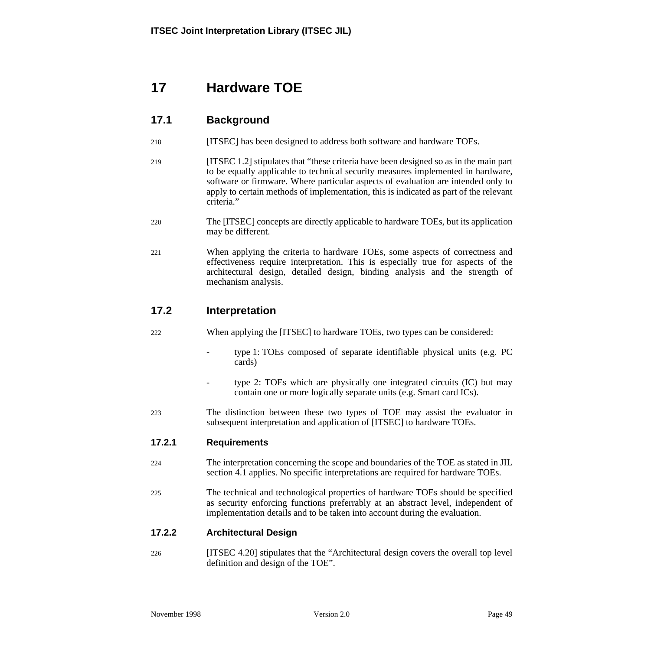# <span id="page-56-0"></span>**17 Hardware TOE**

# **17.1 Background**

- 218 [ITSEC] has been designed to address both software and hardware TOEs.
- 219 [ITSEC 1.2] stipulates that "these criteria have been designed so as in the main part to be equally applicable to technical security measures implemented in hardware, software or firmware. Where particular aspects of evaluation are intended only to apply to certain methods of implementation, this is indicated as part of the relevant criteria."
- 220 The [ITSEC] concepts are directly applicable to hardware TOEs, but its application may be different.
- 221 When applying the criteria to hardware TOEs, some aspects of correctness and effectiveness require interpretation. This is especially true for aspects of the architectural design, detailed design, binding analysis and the strength of mechanism analysis.

# **17.2 Interpretation**

- 222 When applying the [ITSEC] to hardware TOEs, two types can be considered:
	- type 1: TOEs composed of separate identifiable physical units (e.g. PC cards)
	- type 2: TOEs which are physically one integrated circuits (IC) but may contain one or more logically separate units (e.g. Smart card ICs).
- 223 The distinction between these two types of TOE may assist the evaluator in subsequent interpretation and application of [ITSEC] to hardware TOEs.

## **17.2.1 Requirements**

- 224 The interpretation concerning the scope and boundaries of the TOE as stated in JIL section [4.1](#page-16-0) applies. No specific interpretations are required for hardware TOEs.
- 225 The technical and technological properties of hardware TOEs should be specified as security enforcing functions preferrably at an abstract level, independent of implementation details and to be taken into account during the evaluation.

## **17.2.2 Architectural Design**

226 [ITSEC 4.20] stipulates that the "Architectural design covers the overall top level definition and design of the TOE".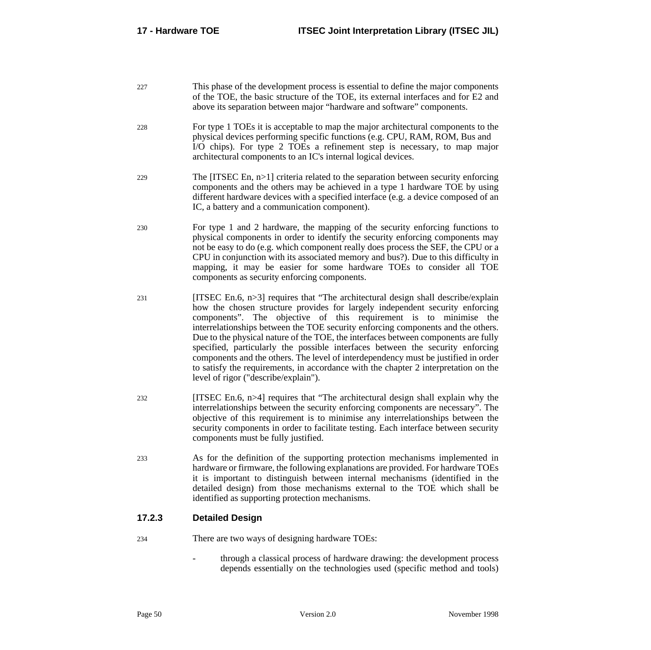227 This phase of the development process is essential to define the major components of the TOE, the basic structure of the TOE, its external interfaces and for E2 and above its separation between major "hardware and software" components.

- 228 For type 1 TOEs it is acceptable to map the major architectural components to the physical devices performing specific functions (e.g. CPU, RAM, ROM, Bus and I/O chips). For type 2 TOEs a refinement step is necessary, to map major architectural components to an IC's internal logical devices.
- 229 The [ITSEC En, n>1] criteria related to the separation between security enforcing components and the others may be achieved in a type 1 hardware TOE by using different hardware devices with a specified interface (e.g. a device composed of an IC, a battery and a communication component).
- 230 For type 1 and 2 hardware, the mapping of the security enforcing functions to physical components in order to identify the security enforcing components may not be easy to do (e.g. which component really does process the SEF, the CPU or a CPU in conjunction with its associated memory and bus?). Due to this difficulty in mapping, it may be easier for some hardware TOEs to consider all TOE components as security enforcing components.
- $231$  [ITSEC En.6, n>3] requires that "The architectural design shall describe/explain how the chosen structure provides for largely independent security enforcing components". The objective of this requirement is to minimise the interrelationships between the TOE security enforcing components and the others. Due to the physical nature of the TOE, the interfaces between components are fully specified, particularly the possible interfaces between the security enforcing components and the others. The level of interdependency must be justified in order to satisfy the requirements, in accordance with the chapter 2 interpretation on the level of rigor ("describe/explain").
- $232$  [ITSEC En.6, n>4] requires that "The architectural design shall explain why the interrelationship*s* between the security enforcing components are necessary". The objective of this requirement is to minimise any interrelationships between the security components in order to facilitate testing. Each interface between security components must be fully justified.
- 233 As for the definition of the supporting protection mechanisms implemented in hardware or firmware, the following explanations are provided. For hardware TOEs it is important to distinguish between internal mechanisms (identified in the detailed design) from those mechanisms external to the TOE which shall be identified as supporting protection mechanisms.

## **17.2.3 Detailed Design**

- 234 There are two ways of designing hardware TOEs:
	- through a classical process of hardware drawing: the development process depends essentially on the technologies used (specific method and tools)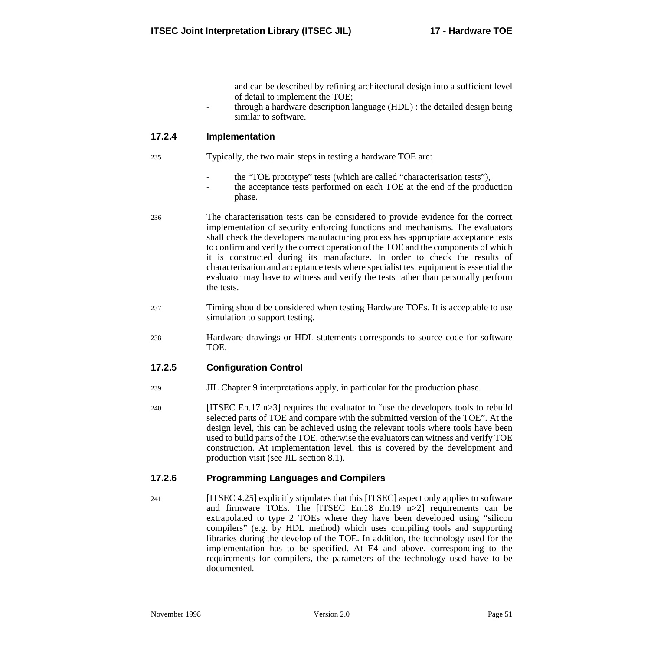and can be described by refining architectural design into a sufficient level of detail to implement the TOE;

- through a hardware description language (HDL) : the detailed design being similar to software.

#### **17.2.4 Implementation**

- 235 Typically, the two main steps in testing a hardware TOE are:
	- the "TOE prototype" tests (which are called "characterisation tests"),
	- the acceptance tests performed on each TOE at the end of the production phase.
- 236 The characterisation tests can be considered to provide evidence for the correct implementation of security enforcing functions and mechanisms. The evaluators shall check the developers manufacturing process has appropriate acceptance tests to confirm and verify the correct operation of the TOE and the components of which it is constructed during its manufacture. In order to check the results of characterisation and acceptance tests where specialist test equipment is essential the evaluator may have to witness and verify the tests rather than personally perform the tests.
- 237 Timing should be considered when testing Hardware TOEs. It is acceptable to use simulation to support testing.
- 238 Hardware drawings or HDL statements corresponds to source code for software TOE.

#### **17.2.5 Configuration Control**

- 239 JIL Chapter 9 interpretations apply, in particular for the production phase.
- 240 [ITSEC En.17 n>3] requires the evaluator to "use the developers tools to rebuild selected parts of TOE and compare with the submitted version of the TOE". At the design level, this can be achieved using the relevant tools where tools have been used to build parts of the TOE, otherwise the evaluators can witness and verify TOE construction. At implementation level, this is covered by the development and production visit (see JIL section [8.1\).](#page-28-0)

#### **17.2.6 Programming Languages and Compilers**

241 [ITSEC 4.25] explicitly stipulates that this [ITSEC] aspect only applies to software and firmware TOEs. The [ITSEC En.18 En.19 n>2] requirements can be extrapolated to type 2 TOEs where they have been developed using "silicon compilers" (e.g. by HDL method) which uses compiling tools and supporting libraries during the develop of the TOE. In addition, the technology used for the implementation has to be specified. At E4 and above, corresponding to the requirements for compilers, the parameters of the technology used have to be documented.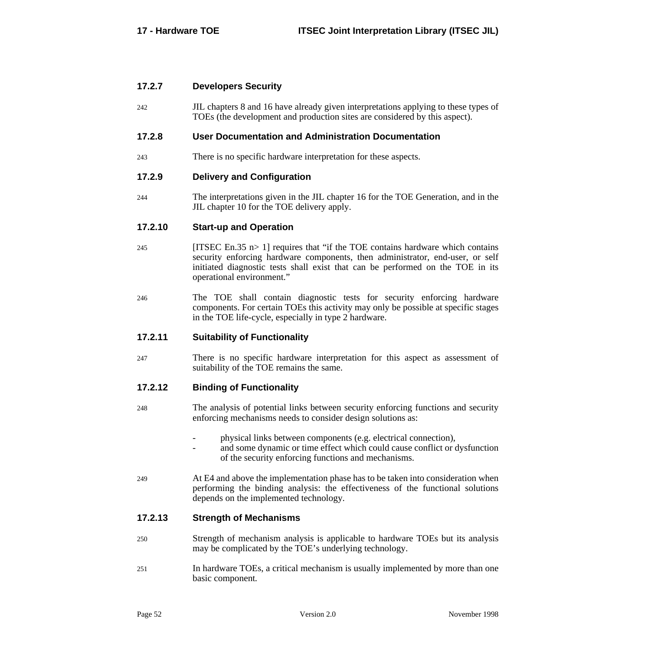#### **17.2.7 Developers Security**

242 JIL chapters [8](#page-28-0) and [16](#page-52-0) have already given interpretations applying to these types of TOEs (the development and production sites are considered by this aspect).

#### **17.2.8 User Documentation and Administration Documentation**

243 There is no specific hardware interpretation for these aspects.

#### **17.2.9 Delivery and Configuration**

244 The interpretations given in the JIL chapter [16](#page-52-0) for the TOE Generation, and in the JIL chapter [10](#page-32-0) for the TOE delivery apply.

#### **17.2.10 Start-up and Operation**

- 245 [ITSEC En.35 n> 1] requires that "if the TOE contains hardware which contains security enforcing hardware components, then administrator, end-user, or self initiated diagnostic tests shall exist that can be performed on the TOE in its operational environment."
- 246 The TOE shall contain diagnostic tests for security enforcing hardware components. For certain TOEs this activity may only be possible at specific stages in the TOE life-cycle, especially in type 2 hardware.

#### **17.2.11 Suitability of Functionality**

247 There is no specific hardware interpretation for this aspect as assessment of suitability of the TOE remains the same.

#### **17.2.12 Binding of Functionality**

- 248 The analysis of potential links between security enforcing functions and security enforcing mechanisms needs to consider design solutions as:
	- physical links between components (e.g. electrical connection),
	- and some dynamic or time effect which could cause conflict or dysfunction of the security enforcing functions and mechanisms.
- 249 At E4 and above the implementation phase has to be taken into consideration when performing the binding analysis: the effectiveness of the functional solutions depends on the implemented technology.

#### **17.2.13 Strength of Mechanisms**

- 250 Strength of mechanism analysis is applicable to hardware TOEs but its analysis may be complicated by the TOE's underlying technology.
- 251 In hardware TOEs, a critical mechanism is usually implemented by more than one basic component*.*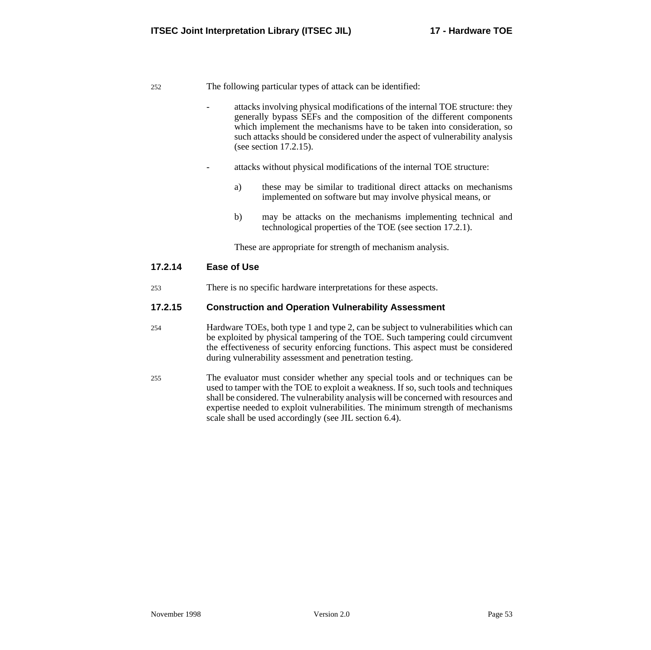252 The following particular types of attack can be identified:

- attacks involving physical modifications of the internal TOE structure: they generally bypass SEFs and the composition of the different components which implement the mechanisms have to be taken into consideration, so such attacks should be considered under the aspect of vulnerability analysis (see section 17.2.15).
- attacks without physical modifications of the internal TOE structure:
	- a) these may be similar to traditional direct attacks on mechanisms implemented on software but may involve physical means, or
	- b) may be attacks on the mechanisms implementing technical and technological properties of the TOE (see section 1[7.2.1\).](#page-56-0)

These are appropriate for strength of mechanism analysis.

#### **17.2.14 Ease of Use**

253 There is no specific hardware interpretations for these aspects.

#### **17.2.15 Construction and Operation Vulnerability Assessment**

- 254 Hardware TOEs, both type 1 and type 2, can be subject to vulnerabilities which can be exploited by physical tampering of the TOE. Such tampering could circumvent the effectiveness of security enforcing functions. This aspect must be considered during vulnerability assessment and penetration testing.
- 255 The evaluator must consider whether any special tools and or techniques can be used to tamper with the TOE to exploit a weakness. If so, such tools and techniques shall be considered. The vulnerability analysis will be concerned with resources and expertise needed to exploit vulnerabilities. The minimum strength of mechanisms scale shall be used accordingly (see JIL section 6.[4\).](#page-24-0)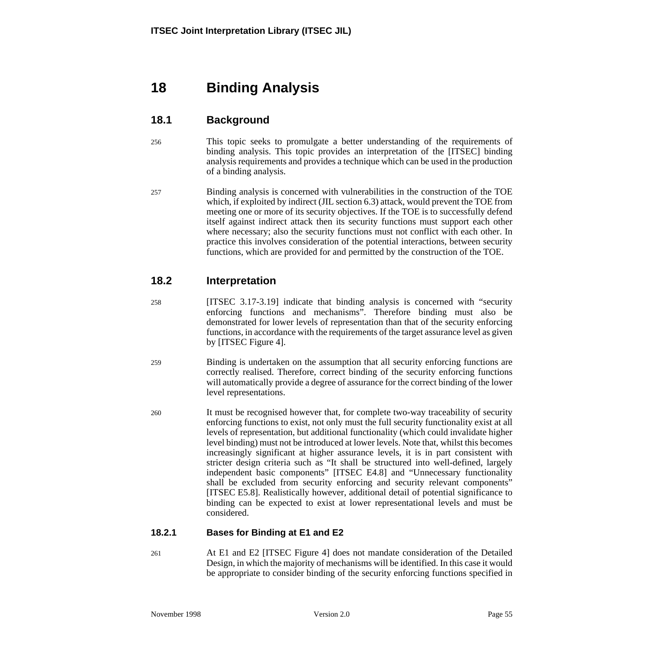# **18 Binding Analysis**

# **18.1 Background**

- 256 This topic seeks to promulgate a better understanding of the requirements of binding analysis. This topic provides an interpretation of the [ITSEC] binding analysis requirements and provides a technique which can be used in the production of a binding analysis.
- 257 Binding analysis is concerned with vulnerabilities in the construction of the TOE which, if exploited by indirect (JIL section [6.3](#page-22-0)) attack, would prevent the TOE from meeting one or more of its security objectives. If the TOE is to successfully defend itself against indirect attack then its security functions must support each other where necessary; also the security functions must not conflict with each other. In practice this involves consideration of the potential interactions, between security functions, which are provided for and permitted by the construction of the TOE.

# **18.2 Interpretation**

- 258 [ITSEC 3.17-3.19] indicate that binding analysis is concerned with "security enforcing functions and mechanisms". Therefore binding must also be demonstrated for lower levels of representation than that of the security enforcing functions, in accordance with the requirements of the target assurance level as given by [ITSEC Figure 4].
- 259 Binding is undertaken on the assumption that all security enforcing functions are correctly realised. Therefore, correct binding of the security enforcing functions will automatically provide a degree of assurance for the correct binding of the lower level representations.
- 260 It must be recognised however that, for complete two-way traceability of security enforcing functions to exist, not only must the full security functionality exist at all levels of representation, but additional functionality (which could invalidate higher level binding) must not be introduced at lower levels. Note that, whilst this becomes increasingly significant at higher assurance levels, it is in part consistent with stricter design criteria such as "It shall be structured into well-defined, largely independent basic components" [ITSEC E4.8] and "Unnecessary functionality shall be excluded from security enforcing and security relevant components" [ITSEC E5.8]. Realistically however, additional detail of potential significance to binding can be expected to exist at lower representational levels and must be considered.

## **18.2.1 Bases for Binding at E1 and E2**

261 At E1 and E2 [ITSEC Figure 4] does not mandate consideration of the Detailed Design, in which the majority of mechanisms will be identified. In this case it would be appropriate to consider binding of the security enforcing functions specified in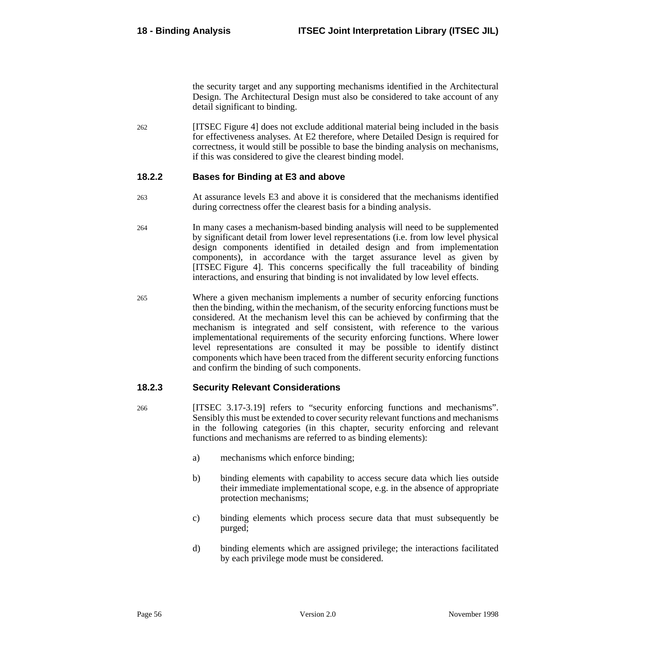the security target and any supporting mechanisms identified in the Architectural Design. The Architectural Design must also be considered to take account of any detail significant to binding.

262 [ITSEC Figure 4] does not exclude additional material being included in the basis for effectiveness analyses. At E2 therefore, where Detailed Design is required for correctness, it would still be possible to base the binding analysis on mechanisms, if this was considered to give the clearest binding model.

#### **18.2.2 Bases for Binding at E3 and above**

- 263 At assurance levels E3 and above it is considered that the mechanisms identified during correctness offer the clearest basis for a binding analysis.
- 264 In many cases a mechanism-based binding analysis will need to be supplemented by significant detail from lower level representations (i.e. from low level physical design components identified in detailed design and from implementation components), in accordance with the target assurance level as given by [ITSEC Figure 4]. This concerns specifically the full traceability of binding interactions, and ensuring that binding is not invalidated by low level effects.
- 265 Where a given mechanism implements a number of security enforcing functions then the binding, within the mechanism, of the security enforcing functions must be considered. At the mechanism level this can be achieved by confirming that the mechanism is integrated and self consistent, with reference to the various implementational requirements of the security enforcing functions. Where lower level representations are consulted it may be possible to identify distinct components which have been traced from the different security enforcing functions and confirm the binding of such components.

#### **18.2.3 Security Relevant Considerations**

- 266 [ITSEC 3.17-3.19] refers to "security enforcing functions and mechanisms". Sensibly this must be extended to cover security relevant functions and mechanisms in the following categories (in this chapter, security enforcing and relevant functions and mechanisms are referred to as binding elements):
	- a) mechanisms which enforce binding;
	- b) binding elements with capability to access secure data which lies outside their immediate implementational scope, e.g. in the absence of appropriate protection mechanisms;
	- c) binding elements which process secure data that must subsequently be purged;
	- d) binding elements which are assigned privilege; the interactions facilitated by each privilege mode must be considered.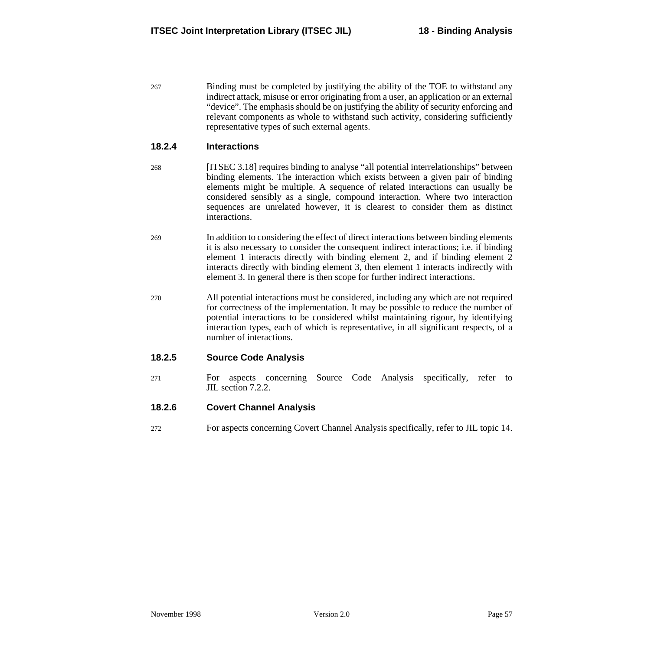267 Binding must be completed by justifying the ability of the TOE to withstand any indirect attack, misuse or error originating from a user, an application or an external "device". The emphasis should be on justifying the ability of security enforcing and relevant components as whole to withstand such activity, considering sufficiently representative types of such external agents.

#### **18.2.4 Interactions**

- 268 [ITSEC 3.18] requires binding to analyse "all potential interrelationships" between binding elements. The interaction which exists between a given pair of binding elements might be multiple. A sequence of related interactions can usually be considered sensibly as a single, compound interaction. Where two interaction sequences are unrelated however, it is clearest to consider them as distinct interactions.
- 269 In addition to considering the effect of direct interactions between binding elements it is also necessary to consider the consequent indirect interactions; i.e. if binding element 1 interacts directly with binding element 2, and if binding element 2 interacts directly with binding element 3, then element 1 interacts indirectly with element 3. In general there is then scope for further indirect interactions.
- 270 All potential interactions must be considered, including any which are not required for correctness of the implementation. It may be possible to reduce the number of potential interactions to be considered whilst maintaining rigour, by identifying interaction types, each of which is representative, in all significant respects, of a number of interactions.

#### **18.2.5 Source Code Analysis**

271 For aspects concerning Source Code Analysis specifically, refer to JIL section [7.2.2.](#page-27-0)

#### **18.2.6 Covert Channel Analysis**

272 For aspects concerning Covert Channel Analysis specifically, refer to JIL topic [14](#page-44-0).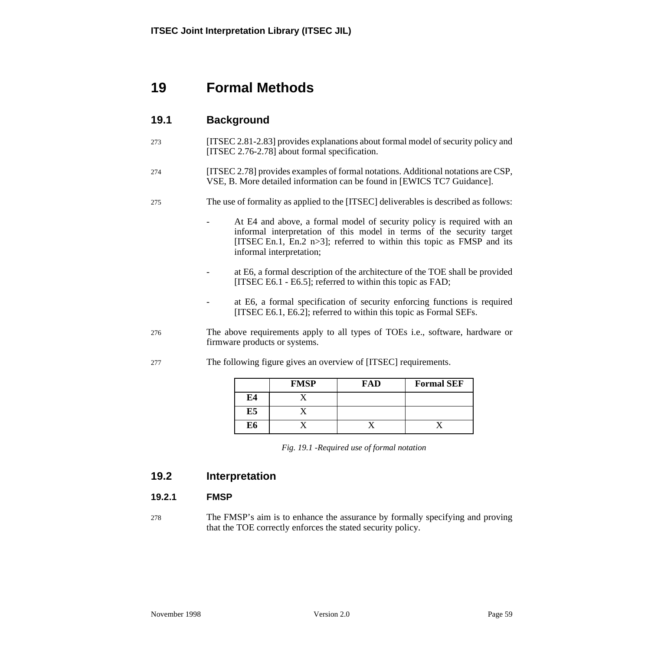# **19 Formal Methods**

## **19.1 Background**

273 [ITSEC 2.81-2.83] provides explanations about formal model of security policy and [ITSEC 2.76-2.78] about formal specification.

#### 274 [ITSEC 2.78] provides examples of formal notations. Additional notations are CSP, VSE, B. More detailed information can be found in [EWICS TC7 Guidance].

#### 275 The use of formality as applied to the [ITSEC] deliverables is described as follows:

- At E4 and above, a formal model of security policy is required with an informal interpretation of this model in terms of the security target [ITSEC En.1, En.2 n>3]; referred to within this topic as FMSP and its informal interpretation;
- at E6, a formal description of the architecture of the TOE shall be provided [ITSEC E6.1 - E6.5]; referred to within this topic as FAD;
- at E6, a formal specification of security enforcing functions is required [ITSEC E6.1, E6.2]; referred to within this topic as Formal SEFs.
- 276 The above requirements apply to all types of TOEs i.e., software, hardware or firmware products or systems.
- 277 The following figure gives an overview of [ITSEC] requirements.

|    | <b>FMSP</b> | FAD | <b>Formal SEF</b> |
|----|-------------|-----|-------------------|
| E4 |             |     |                   |
| E5 |             |     |                   |
| E6 |             |     |                   |

*Fig. 19.1 -Required use of formal notation*

## **19.2 Interpretation**

#### **19.2.1 FMSP**

278 The FMSP's aim is to enhance the assurance by formally specifying and proving that the TOE correctly enforces the stated security policy.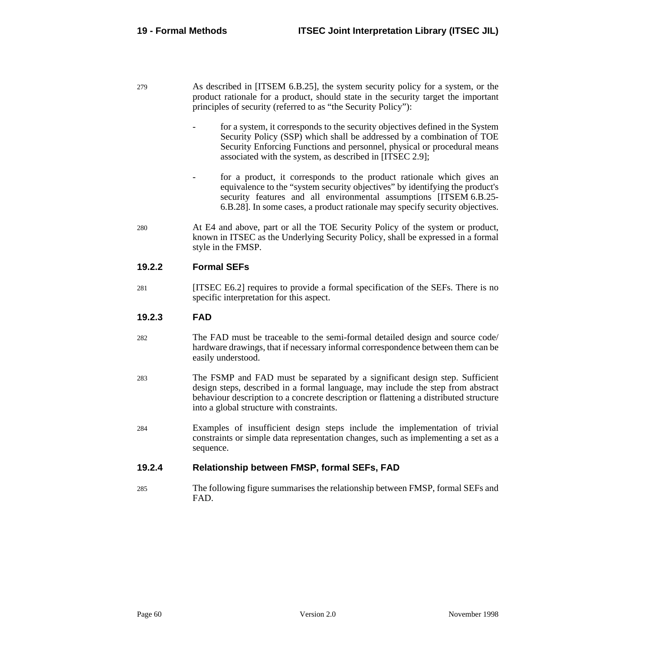- 279 As described in [ITSEM 6.B.25], the system security policy for a system, or the product rationale for a product, should state in the security target the important principles of security (referred to as "the Security Policy"):
	- for a system, it corresponds to the security objectives defined in the System Security Policy (SSP) which shall be addressed by a combination of TOE Security Enforcing Functions and personnel, physical or procedural means associated with the system, as described in [ITSEC 2.9];
	- for a product, it corresponds to the product rationale which gives an equivalence to the "system security objectives" by identifying the product's security features and all environmental assumptions [ITSEM 6.B.25- 6.B.28]. In some cases, a product rationale may specify security objectives.
- 280 At E4 and above, part or all the TOE Security Policy of the system or product, known in ITSEC as the Underlying Security Policy, shall be expressed in a formal style in the FMSP.

## **19.2.2 Formal SEFs**

281 [ITSEC E6.2] requires to provide a formal specification of the SEFs. There is no specific interpretation for this aspect.

## **19.2.3 FAD**

- 282 The FAD must be traceable to the semi-formal detailed design and source code/ hardware drawings, that if necessary informal correspondence between them can be easily understood.
- 283 The FSMP and FAD must be separated by a significant design step. Sufficient design steps, described in a formal language, may include the step from abstract behaviour description to a concrete description or flattening a distributed structure into a global structure with constraints.
- 284 Examples of insufficient design steps include the implementation of trivial constraints or simple data representation changes, such as implementing a set as a sequence.

## **19.2.4 Relationship between FMSP, formal SEFs, FAD**

285 The following figure summarises the relationship between FMSP, formal SEFs and FAD.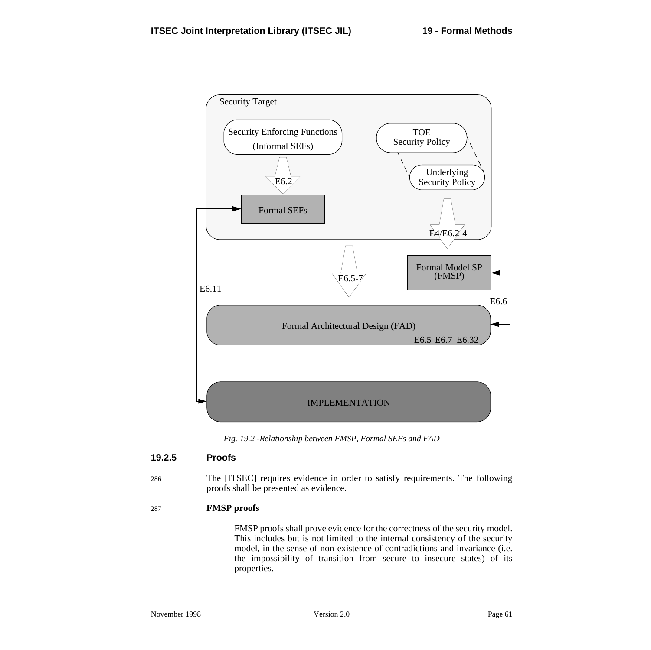

*Fig. 19.2 -Relationship between FMSP, Formal SEFs and FAD*

## **19.2.5 Proofs**

286 The [ITSEC] requires evidence in order to satisfy requirements. The following proofs shall be presented as evidence.

#### 287 **FMSP proofs**

FMSP proofs shall prove evidence for the correctness of the security model. This includes but is not limited to the internal consistency of the security model, in the sense of non-existence of contradictions and invariance (i.e. the impossibility of transition from secure to insecure states) of its properties.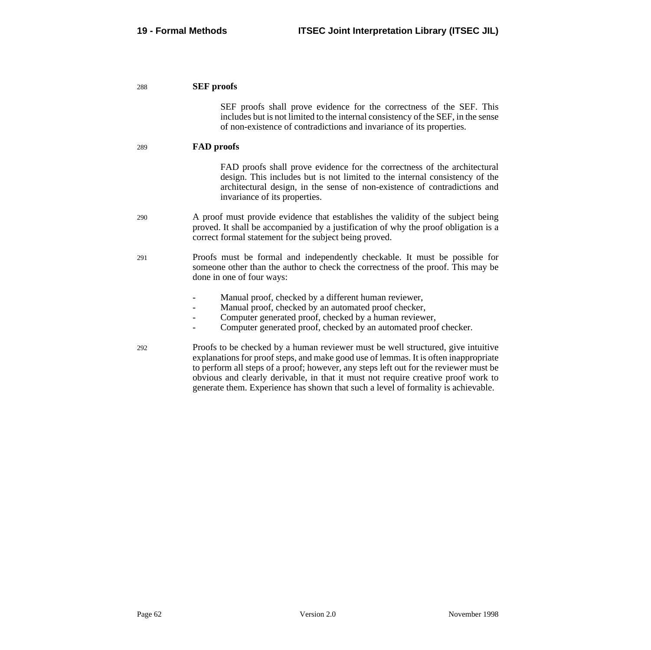| 288 | <b>SEF</b> proofs                                                                                                                                                                                                                                                                                                                                                                                                                           |  |
|-----|---------------------------------------------------------------------------------------------------------------------------------------------------------------------------------------------------------------------------------------------------------------------------------------------------------------------------------------------------------------------------------------------------------------------------------------------|--|
|     | SEF proofs shall prove evidence for the correctness of the SEF. This<br>includes but is not limited to the internal consistency of the SEF, in the sense<br>of non-existence of contradictions and invariance of its properties.                                                                                                                                                                                                            |  |
| 289 | <b>FAD</b> proofs                                                                                                                                                                                                                                                                                                                                                                                                                           |  |
|     | FAD proofs shall prove evidence for the correctness of the architectural<br>design. This includes but is not limited to the internal consistency of the<br>architectural design, in the sense of non-existence of contradictions and<br>invariance of its properties.                                                                                                                                                                       |  |
| 290 | A proof must provide evidence that establishes the validity of the subject being<br>proved. It shall be accompanied by a justification of why the proof obligation is a<br>correct formal statement for the subject being proved.                                                                                                                                                                                                           |  |
| 291 | Proofs must be formal and independently checkable. It must be possible for<br>someone other than the author to check the correctness of the proof. This may be<br>done in one of four ways:                                                                                                                                                                                                                                                 |  |
|     | Manual proof, checked by a different human reviewer,<br>Manual proof, checked by an automated proof checker,<br>Computer generated proof, checked by a human reviewer,<br>Computer generated proof, checked by an automated proof checker.                                                                                                                                                                                                  |  |
| 292 | Proofs to be checked by a human reviewer must be well structured, give intuitive<br>explanations for proof steps, and make good use of lemmas. It is often inappropriate<br>to perform all steps of a proof; however, any steps left out for the reviewer must be<br>obvious and clearly derivable, in that it must not require creative proof work to<br>generate them. Experience has shown that such a level of formality is achievable. |  |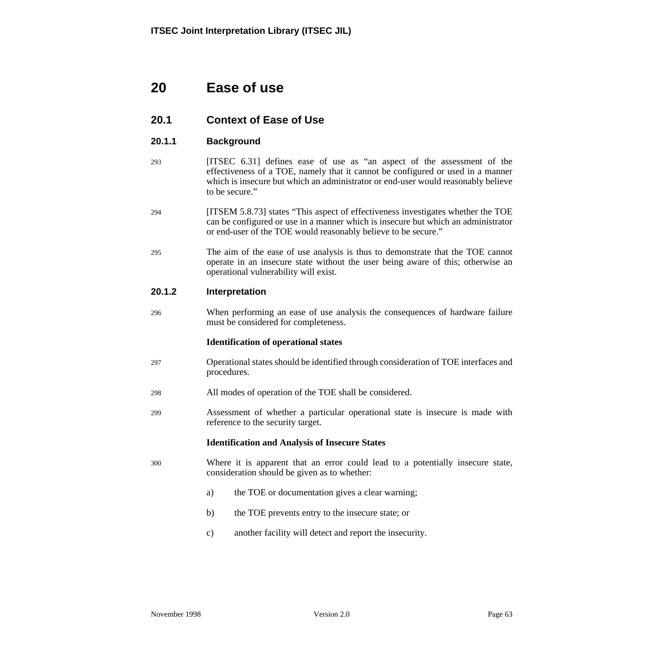# **20 Ease of use**

## **20.1 Context of Ease of Use**

### **20.1.1 Background**

- 293 [ITSEC 6.31] defines ease of use as "an aspect of the assessment of the effectiveness of a TOE, namely that it cannot be configured or used in a manner which is insecure but which an administrator or end-user would reasonably believe to be secure."
- 294 [ITSEM 5.8.73] states "This aspect of effectiveness investigates whether the TOE can be configured or use in a manner which is insecure but which an administrator or end-user of the TOE would reasonably believe to be secure."
- 295 The aim of the ease of use analysis is thus to demonstrate that the TOE cannot operate in an insecure state without the user being aware of this; otherwise an operational vulnerability will exist.

#### **20.1.2 Interpretation**

296 When performing an ease of use analysis the consequences of hardware failure must be considered for completeness.

#### **Identification of operational states**

- 297 Operational states should be identified through consideration of TOE interfaces and procedures.
- 298 All modes of operation of the TOE shall be considered.
- 299 Assessment of whether a particular operational state is insecure is made with reference to the security target.

#### **Identification and Analysis of Insecure States**

- 300 Where it is apparent that an error could lead to a potentially insecure state, consideration should be given as to whether:
	- a) the TOE or documentation gives a clear warning;
	- b) the TOE prevents entry to the insecure state; or
	- c) another facility will detect and report the insecurity.